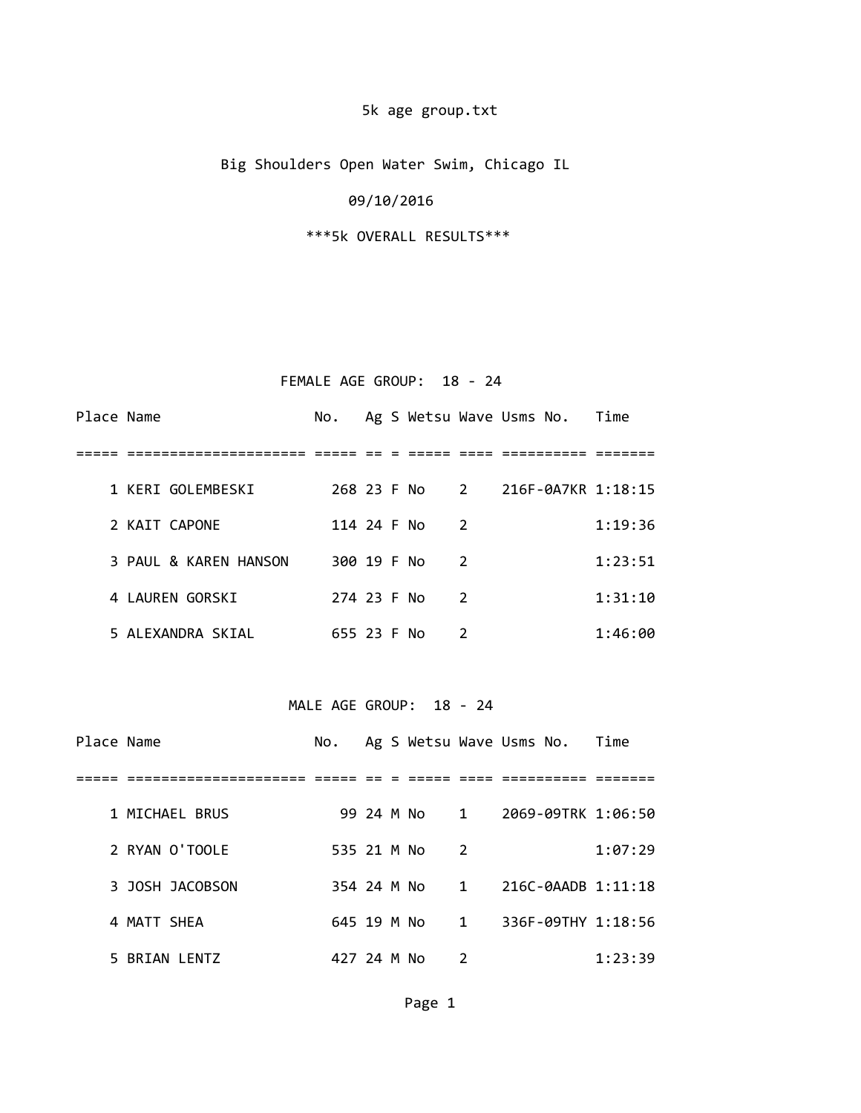## 5k age group.txt

Big Shoulders Open Water Swim, Chicago IL

#### 09/10/2016

\*\*\*5k OVERALL RESULTS\*\*\*

#### FEMALE AGE GROUP: 18 - 24

| Place Name |                       | No.         |  |               | Ag S Wetsu Wave Usms No. Time    |         |
|------------|-----------------------|-------------|--|---------------|----------------------------------|---------|
|            |                       |             |  |               |                                  |         |
|            | 1 KERI GOLEMBESKI     |             |  |               | 268 23 F No 2 216F-0A7KR 1:18:15 |         |
|            | 2 KAIT CAPONE         | 114 24 F No |  | $\mathcal{P}$ |                                  | 1:19:36 |
|            | 3 PAUL & KAREN HANSON | 300 19 F No |  | $\mathcal{P}$ |                                  | 1:23:51 |
|            | 4 LAUREN GORSKI       | 274 23 F No |  | $\mathcal{P}$ |                                  | 1:31:10 |
|            | 5 ALEXANDRA SKIAL     | 655 23 F No |  | 2             |                                  | 1:46:00 |

#### MALE AGE GROUP: 18 - 24

| Place Name |                 |             |  |               |               | No. Ag S Wetsu Wave Usms No. Time |         |
|------------|-----------------|-------------|--|---------------|---------------|-----------------------------------|---------|
|            |                 |             |  |               |               |                                   |         |
|            | 1 MICHAEL BRUS  |             |  | 99 24 M No 1  |               | 2069-09TRK 1:06:50                |         |
|            | 2 RYAN O'TOOLE  | 535 21 M No |  |               | $\mathcal{P}$ |                                   | 1:07:29 |
|            | 3 JOSH JACOBSON |             |  | 354 24 M No 1 |               | 216C-0AADB 1:11:18                |         |
|            | 4 MATT SHEA     | 645 19 M No |  |               | $\sim$ 1      | 336F-09THY 1:18:56                |         |
|            | 5 BRIAN LENTZ   | 427 24 M No |  |               | 2             |                                   | 1:23:39 |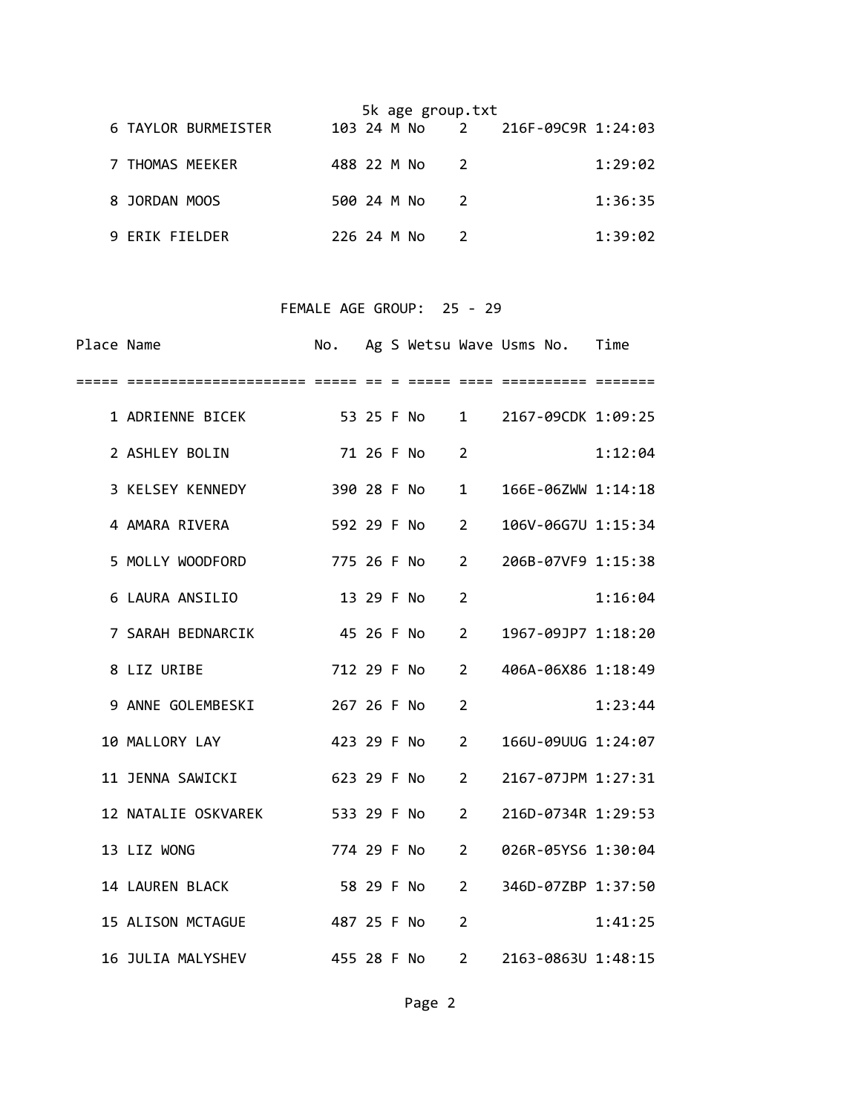|                     |             |  | 5k age group.txt |    |                                  |         |
|---------------------|-------------|--|------------------|----|----------------------------------|---------|
| 6 TAYLOR BURMEISTER |             |  |                  |    | 103 24 M No 2 216F-09C9R 1:24:03 |         |
| 7 THOMAS MEEKER     | 488 22 M No |  |                  | -2 |                                  | 1:29:02 |
| 8 JORDAN MOOS       | 500 24 M No |  |                  | -2 |                                  | 1:36:35 |
| 9 FRIK FIELDER      | 226 24 M No |  |                  |    |                                  | 1:39:02 |

#### FEMALE AGE GROUP: 25 - 29

| Place Name |                                  | No.         |            |                            |                | Ag S Wetsu Wave Usms No. Time    |         |
|------------|----------------------------------|-------------|------------|----------------------------|----------------|----------------------------------|---------|
|            |                                  |             |            |                            |                |                                  |         |
|            | 1 ADRIENNE BICEK                 |             |            | 53 25 F No 1               |                | 2167-09CDK 1:09:25               |         |
|            | 2 ASHLEY BOLIN                   |             |            | 71 26 F No                 | $\overline{2}$ |                                  | 1:12:04 |
|            | 3 KELSEY KENNEDY                 | 390 28 F No |            |                            | $\mathbf{1}$   | 166E-06ZWW 1:14:18               |         |
|            | 4 AMARA RIVERA                   | 592 29 F No |            | $\overline{\phantom{a}}$   |                | 106V-06G7U 1:15:34               |         |
|            | 5 MOLLY WOODFORD<br>775 26 F No  |             |            |                            | $\overline{2}$ | 206B-07VF9 1:15:38               |         |
|            | 6 LAURA ANSILIO                  |             | 13 29 F No |                            | $\overline{2}$ |                                  | 1:16:04 |
|            | 7 SARAH BEDNARCIK 45 26 F No     |             |            |                            | $\overline{2}$ | 1967-09JP7 1:18:20               |         |
|            | 8 LIZ URIBE                      | 712 29 F No |            | $\overline{\phantom{a}}$ 2 |                | 406A-06X86 1:18:49               |         |
|            | 9 ANNE GOLEMBESKI 267 26 F No    |             |            |                            | $\overline{2}$ |                                  | 1:23:44 |
|            | 10 MALLORY LAY                   |             |            | 423 29 F No 2              |                | 166U-09UUG 1:24:07               |         |
|            | 11 JENNA SAWICKI                 |             |            | 623 29 F No                | $\overline{2}$ | 2167-07JPM 1:27:31               |         |
|            | 12 NATALIE OSKVAREK 533 29 F No  |             |            |                            | $\overline{2}$ | 216D-0734R 1:29:53               |         |
|            | 13 LIZ WONG                      |             |            | 774 29 F No                | $\overline{2}$ | 026R-05YS6 1:30:04               |         |
|            | 14 LAUREN BLACK                  | 58 29 F No  |            |                            | 2              | 346D-07ZBP 1:37:50               |         |
|            | 15 ALISON MCTAGUE<br>487 25 F No |             |            |                            | $\overline{2}$ |                                  | 1:41:25 |
|            | 16 JULIA MALYSHEV                |             |            |                            |                | 455 28 F No 2 2163-0863U 1:48:15 |         |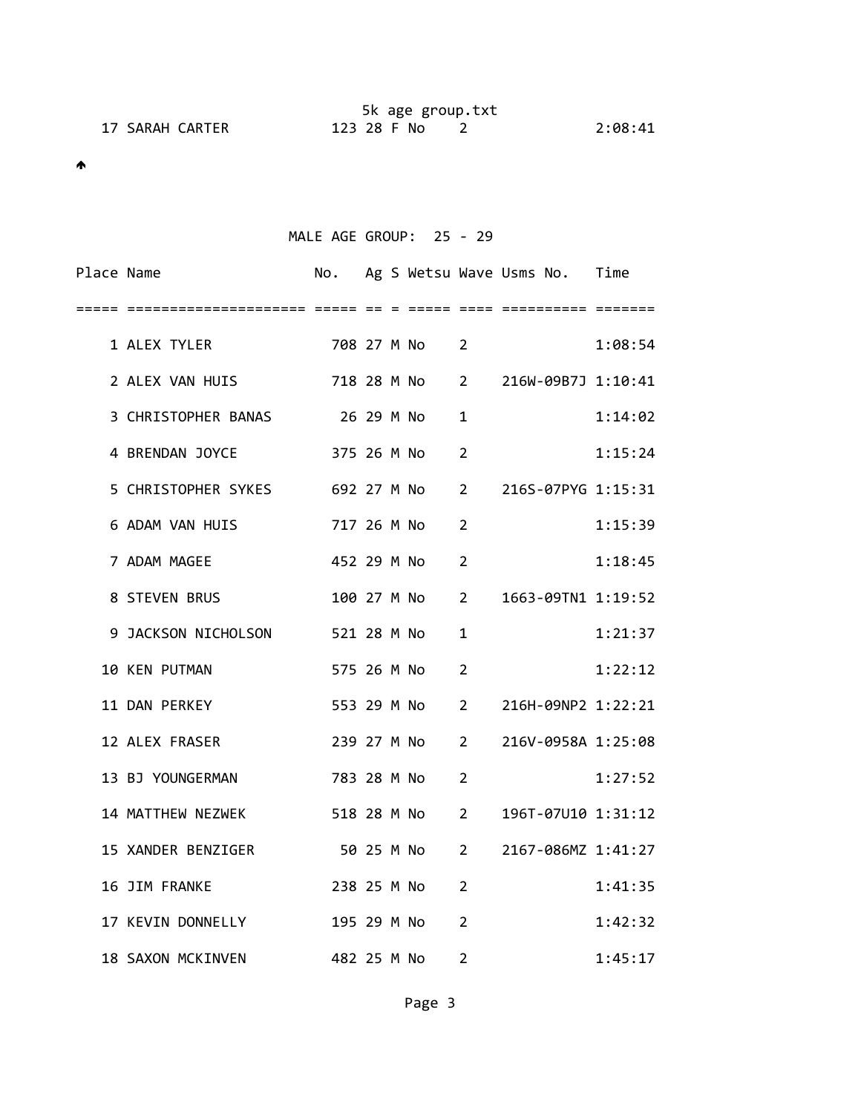|                 | 5k age group.txt |         |
|-----------------|------------------|---------|
| 17 SARAH CARTER | 123 28 F No      | 2:08:41 |

MALE AGE GROUP: 25 - 29

| Place Name |                                                    |               |  |                | No. Ag S Wetsu Wave Usms No. Time |         |
|------------|----------------------------------------------------|---------------|--|----------------|-----------------------------------|---------|
|            |                                                    |               |  |                |                                   |         |
|            | 1 ALEX TYLER 708 27 M No 2                         |               |  |                |                                   | 1:08:54 |
|            | 2 ALEX VAN HUIS 718 28 M No 2 216W-09B7J 1:10:41   |               |  |                |                                   |         |
|            | 3 CHRISTOPHER BANAS 26 29 M No                     |               |  | $\mathbf{1}$   |                                   | 1:14:02 |
|            | 4 BRENDAN JOYCE 375 26 M No                        |               |  | $\overline{2}$ |                                   | 1:15:24 |
|            | 5 CHRISTOPHER SYKES 692 27 M No 2                  |               |  |                | 216S-07PYG 1:15:31                |         |
|            | 6 ADAM VAN HUIS 717 26 M No 2                      |               |  |                |                                   | 1:15:39 |
|            | 7 ADAM MAGEE                                       | 452 29 M No 2 |  |                |                                   | 1:18:45 |
|            | 8 STEVEN BRUS                                      |               |  |                | 100 27 M No 2 1663-09TN1 1:19:52  |         |
|            | 9 JACKSON NICHOLSON 521 28 M No                    |               |  | 1              |                                   | 1:21:37 |
|            | 10 KEN PUTMAN                                      | 575 26 M No 2 |  |                |                                   | 1:22:12 |
|            | 11 DAN PERKEY                                      |               |  |                | 553 29 M No 2 216H-09NP2 1:22:21  |         |
|            | 12 ALEX FRASER                                     | 239 27 M No 2 |  |                | 216V-0958A 1:25:08                |         |
|            | 13 BJ YOUNGERMAN 783 28 M No 2                     |               |  |                |                                   | 1:27:52 |
|            | 14 MATTHEW NEZWEK 518 28 M No 2 196T-07U10 1:31:12 |               |  |                |                                   |         |
|            | 15 XANDER BENZIGER 50 25 M No 2                    |               |  |                | 2167-086MZ 1:41:27                |         |
|            | 16 JIM FRANKE                                      | 238 25 M No   |  | $\overline{2}$ |                                   | 1:41:35 |
|            | 17 KEVIN DONNELLY                                  | 195 29 M No   |  | $\overline{2}$ |                                   | 1:42:32 |
|            | 482 25 M No<br>18 SAXON MCKINVEN                   |               |  | $\overline{2}$ |                                   | 1:45:17 |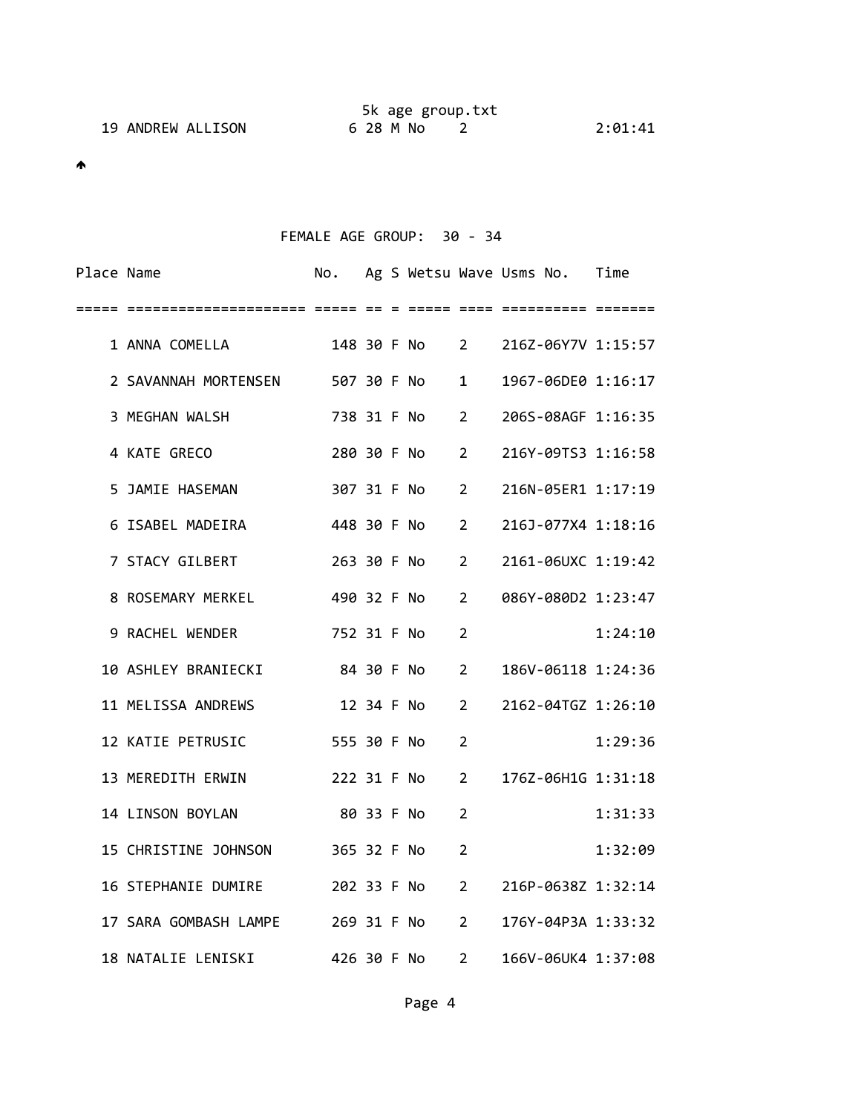|                   | 5k age group.txt |         |
|-------------------|------------------|---------|
| 19 ANDREW ALLISON | 6 28 M No        | 2:01:41 |

# FEMALE AGE GROUP: 30 ‐ 34

| Place Name |                                                     |               |  |            |                | No. Ag S Wetsu Wave Usms No. Time |         |
|------------|-----------------------------------------------------|---------------|--|------------|----------------|-----------------------------------|---------|
| =====      |                                                     |               |  |            |                |                                   |         |
|            | 1 ANNA COMELLA 148 30 F No 2 216Z-06Y7V 1:15:57     |               |  |            |                |                                   |         |
|            | 2 SAVANNAH MORTENSEN 507 30 F No                    |               |  |            |                | 1 1967-06DE0 1:16:17              |         |
|            | 3 MEGHAN WALSH                                      | 738 31 F No 2 |  |            |                | 206S-08AGF 1:16:35                |         |
|            | 4 KATE GRECO                                        |               |  |            |                | 280 30 F No 2 216Y-09TS3 1:16:58  |         |
|            | 5 JAMIE HASEMAN                                     | 307 31 F No 2 |  |            |                | 216N-05ER1 1:17:19                |         |
|            | 6 ISABEL MADEIRA                                    | 448 30 F No 2 |  |            |                | 216J-077X4 1:18:16                |         |
|            | 7 STACY GILBERT                                     | 263 30 F No 2 |  |            |                | 2161-06UXC 1:19:42                |         |
|            | 8 ROSEMARY MERKEL                                   | 490 32 F No 2 |  |            |                | 086Y-080D2 1:23:47                |         |
|            | 9 RACHEL WENDER 752 31 F No                         |               |  |            | $\overline{2}$ |                                   | 1:24:10 |
|            | 10 ASHLEY BRANIECKI                                 | 84 30 F No    |  |            | $\overline{2}$ | 186V-06118 1:24:36                |         |
|            | 11 MELISSA ANDREWS                                  |               |  | 12 34 F No | 2              | 2162-04TGZ 1:26:10                |         |
|            | 12 KATIE PETRUSIC                                   | 555 30 F No   |  |            | $\overline{2}$ |                                   | 1:29:36 |
|            | 13 MEREDITH ERWIN<br>222 31 F No                    |               |  |            | $\overline{2}$ | 176Z-06H1G 1:31:18                |         |
|            | 14 LINSON BOYLAN                                    | 80 33 F No    |  |            | $\overline{2}$ |                                   | 1:31:33 |
|            | 15 CHRISTINE JOHNSON 365 32 F No                    |               |  |            | $\overline{2}$ |                                   | 1:32:09 |
|            | 16 STEPHANIE DUMIRE 202 33 F No 2                   |               |  |            |                | 216P-0638Z 1:32:14                |         |
|            | 17 SARA GOMBASH LAMPE 269 31 F No 2                 |               |  |            |                | 176Y-04P3A 1:33:32                |         |
|            | 18 NATALIE LENISKI 426 30 F No 2 166V-06UK4 1:37:08 |               |  |            |                |                                   |         |
|            |                                                     |               |  |            |                |                                   |         |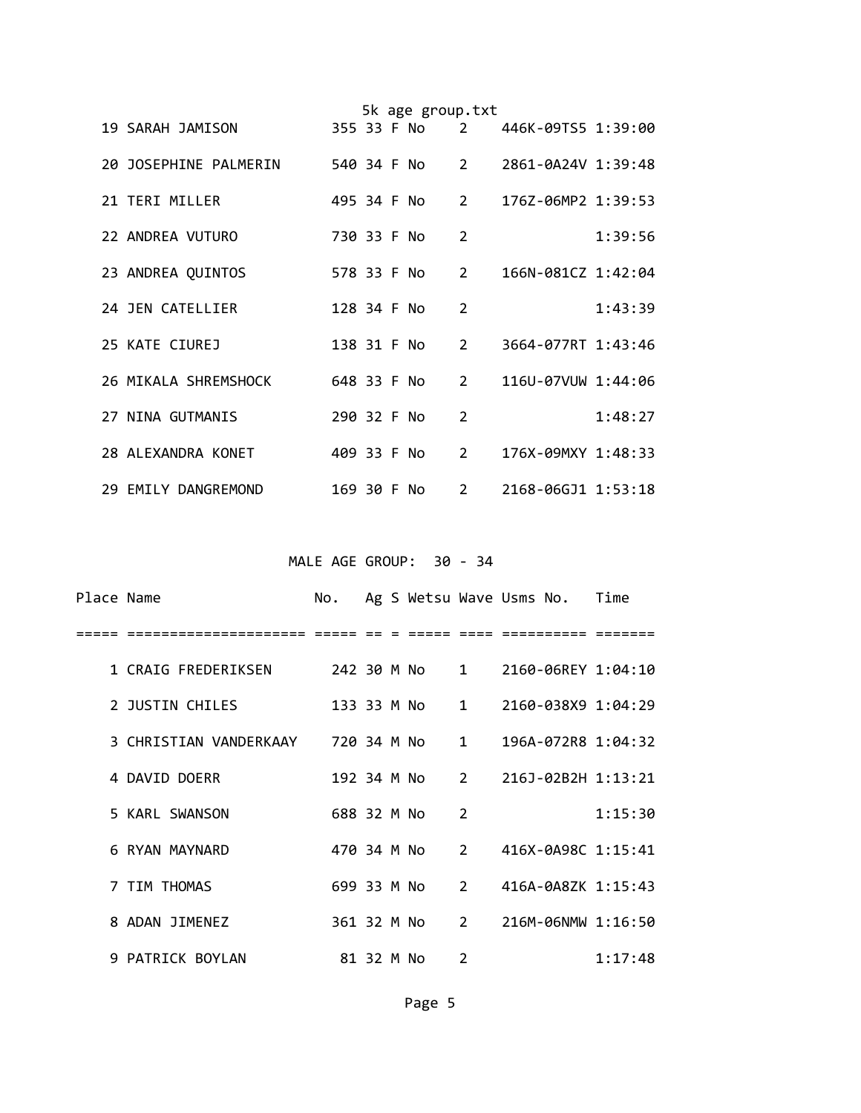|  |                       |             |  | 5k age group.txt |                |                      |         |
|--|-----------------------|-------------|--|------------------|----------------|----------------------|---------|
|  | 19 SARAH JAMISON      | 355 33 F No |  |                  | $2^{\circ}$    | 446K-09TS5 1:39:00   |         |
|  | 20 JOSEPHINE PALMERIN |             |  | 540 34 F No      |                | 2 2861-0A24V 1:39:48 |         |
|  | 21 TERI MILLER        | 495 34 F No |  |                  | $\overline{2}$ | 176Z-06MP2 1:39:53   |         |
|  | 22 ANDREA VUTURO      | 730 33 F No |  |                  | 2              |                      | 1:39:56 |
|  | 23 ANDREA QUINTOS     | 578 33 F No |  |                  | $\overline{2}$ | 166N-081CZ 1:42:04   |         |
|  | 24 JEN CATELLIER      | 128 34 F No |  |                  | $\overline{2}$ |                      | 1:43:39 |
|  | 25 KATE CIUREJ        | 138 31 F No |  |                  | $2^{\circ}$    | 3664-077RT 1:43:46   |         |
|  | 26 MIKALA SHREMSHOCK  | 648 33 F No |  |                  | $\overline{2}$ | 116U-07VUW 1:44:06   |         |
|  | 27 NINA GUTMANIS      | 290 32 F No |  |                  | $\mathcal{P}$  |                      | 1:48:27 |
|  | 28 ALEXANDRA KONET    | 409 33 F No |  |                  | $\overline{2}$ | 176X-09MXY 1:48:33   |         |
|  | 29 EMILY DANGREMOND   | 169 30 F No |  |                  | $2^{\circ}$    | 2168-06GJ1 1:53:18   |         |

MALE AGE GROUP: 30 - 34

| Place Name |                                                      |             |  |                | No. Ag S Wetsu Wave Usms No. Time |         |
|------------|------------------------------------------------------|-------------|--|----------------|-----------------------------------|---------|
|            | --------- -----                                      |             |  |                |                                   |         |
|            | 1 CRAIG FREDERIKSEN 242 30 M No 1 2160-06REY 1:04:10 |             |  |                |                                   |         |
|            | 2 JUSTIN CHILES                                      |             |  |                | 133 33 M No 1 2160-038X9 1:04:29  |         |
|            | 3 CHRISTIAN VANDERKAAY 720 34 M No 1                 |             |  |                | 196A-072R8 1:04:32                |         |
|            | 4 DAVID DOERR                                        |             |  |                | 192 34 M No 2 216J-02B2H 1:13:21  |         |
|            | 5 KARL SWANSON                                       | 688 32 M No |  | 2              |                                   | 1:15:30 |
|            | 6 RYAN MAYNARD                                       |             |  |                | 470 34 M No 2 416X-0A98C 1:15:41  |         |
|            | 7 TIM THOMAS                                         |             |  |                | 699 33 M No 2 416A-0A8ZK 1:15:43  |         |
|            | 8 ADAN JIMENEZ                                       |             |  |                | 361 32 M No 2 216M-06NMW 1:16:50  |         |
|            | 9 PATRICK BOYLAN                                     | 81 32 M No  |  | $\overline{2}$ |                                   | 1:17:48 |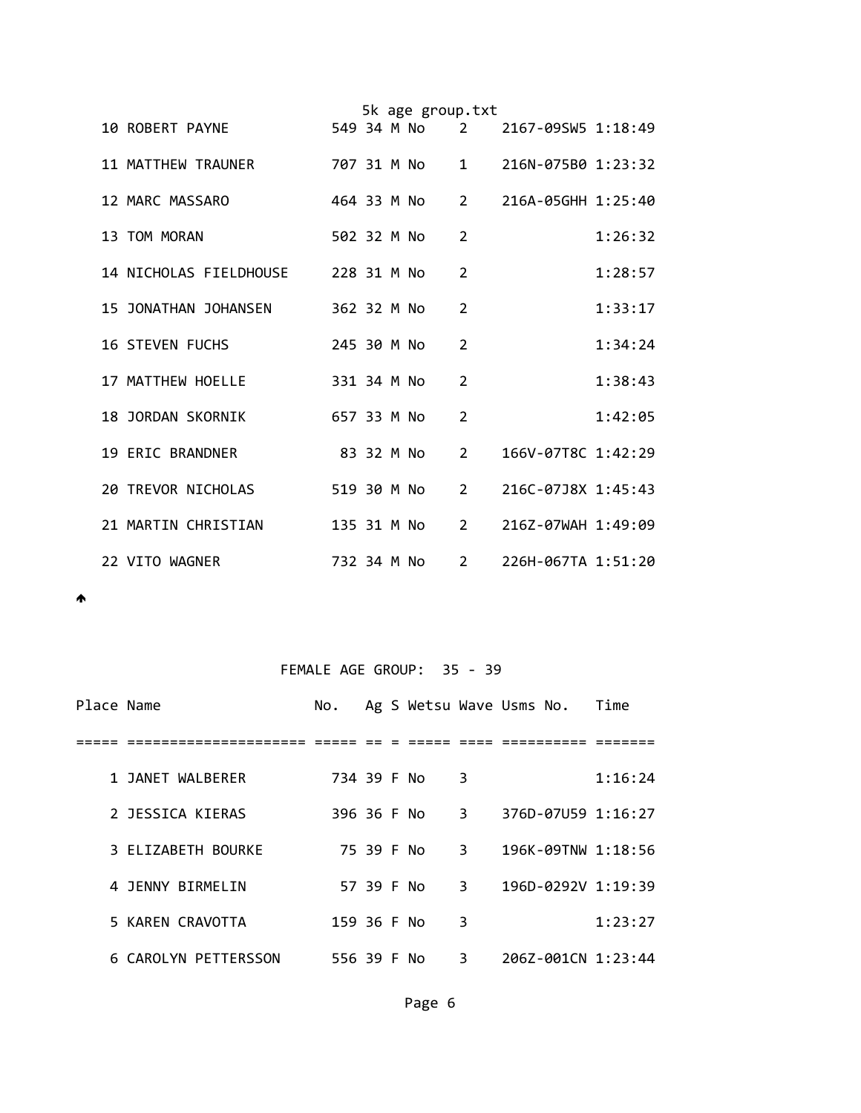|  |                                       |             |  | 5k age group.txt |                |                    |         |
|--|---------------------------------------|-------------|--|------------------|----------------|--------------------|---------|
|  | 10 ROBERT PAYNE                       |             |  | 549 34 M No      | 2              | 2167-09SW5 1:18:49 |         |
|  | 11 MATTHEW TRAUNER                    |             |  | 707 31 M No      | $\mathbf{1}$   | 216N-075B0 1:23:32 |         |
|  | 12 MARC MASSARO                       |             |  | 464 33 M No      | $2^{\circ}$    | 216A-05GHH 1:25:40 |         |
|  | 13 TOM MORAN                          | 502 32 M No |  |                  | $\overline{2}$ |                    | 1:26:32 |
|  | 14 NICHOLAS FIELDHOUSE<br>228 31 M No |             |  |                  | $\overline{2}$ |                    | 1:28:57 |
|  | 15 JONATHAN JOHANSEN                  | 362 32 M No |  |                  | $\mathcal{P}$  |                    | 1:33:17 |
|  | <b>16 STEVEN FUCHS</b>                | 245 30 M No |  |                  | $\overline{2}$ |                    | 1:34:24 |
|  | 17 MATTHEW HOELLE                     | 331 34 M No |  |                  | $\overline{2}$ |                    | 1:38:43 |
|  | 18 JORDAN SKORNIK                     | 657 33 M No |  |                  | 2              |                    | 1:42:05 |
|  | 19 ERIC BRANDNER                      |             |  | 83 32 M No       | $\overline{2}$ | 166V-07T8C 1:42:29 |         |
|  | 20 TREVOR NICHOLAS                    | 519 30 M No |  |                  | $\overline{2}$ | 216C-07J8X 1:45:43 |         |
|  | 21 MARTIN CHRISTIAN                   | 135 31 M No |  |                  | $2^{\circ}$    | 216Z-07WAH 1:49:09 |         |
|  | 22 VITO WAGNER                        | 732 34 M No |  |                  | $\overline{2}$ | 226H-067TA 1:51:20 |         |

# FEMALE AGE GROUP: 35 - 39

| Place Name |                      | No.         |            |  |   | Ag S Wetsu Wave Usms No. | Time    |
|------------|----------------------|-------------|------------|--|---|--------------------------|---------|
|            |                      |             |            |  |   |                          |         |
|            | 1 JANET WALBERER     | 734 39 F No |            |  | 3 |                          | 1:16:24 |
|            | 2 JESSICA KIERAS     | 396 36 F No |            |  | 3 | 376D-07U59 1:16:27       |         |
|            | 3 ELIZABETH BOURKE   |             | 75 39 F No |  | 3 | $196K - 097NW$ $1:18:56$ |         |
|            | 4 JENNY BIRMELIN     |             | 57 39 F No |  | 3 | 196D-0292V 1:19:39       |         |
|            | 5 KAREN CRAVOTTA     | 159 36 F No |            |  | 3 |                          | 1:23:27 |
|            | 6 CAROLYN PETTERSSON | 556 39 F No |            |  | 3 | 206Z-001CN 1:23:44       |         |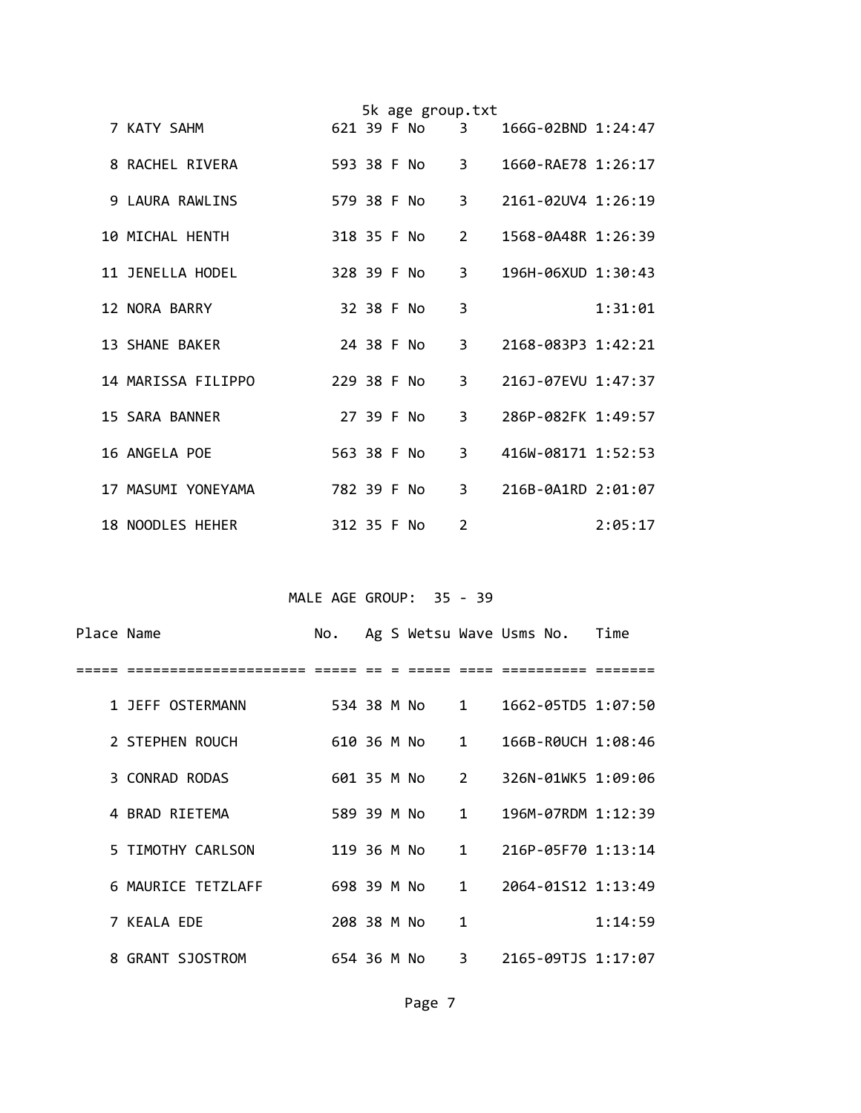|  |                    |             |            | 5k age group.txt |                               |                        |         |
|--|--------------------|-------------|------------|------------------|-------------------------------|------------------------|---------|
|  | 7 KATY SAHM        | 621 39 F No |            |                  | $\overline{3}$ $\overline{3}$ | $166G - 02BND 1:24:47$ |         |
|  | 8 RACHEL RIVERA    | 593 38 F No |            |                  | $3^{\circ}$                   | 1660-RAE78 1:26:17     |         |
|  | 9 LAURA RAWLINS    | 579 38 F No |            |                  | $\overline{3}$                | 2161-02UV4 1:26:19     |         |
|  | 10 MICHAL HENTH    | 318 35 F No |            |                  | $2^{\circ}$                   | 1568-0A48R 1:26:39     |         |
|  | 11 JENELLA HODEL   |             |            | 328 39 F No      | $3^{\circ}$                   | 196H-06XUD 1:30:43     |         |
|  | 12 NORA BARRY      |             | 32 38 F No |                  | 3                             |                        | 1:31:01 |
|  | 13 SHANE BAKER     |             | 24 38 F No |                  | 3                             | 2168-083P3 1:42:21     |         |
|  | 14 MARISSA FILIPPO | 229 38 F No |            |                  | 3                             | 216J-07EVU 1:47:37     |         |
|  | 15 SARA BANNER     |             | 27 39 F No |                  | 3                             | 286P-082FK 1:49:57     |         |
|  | 16 ANGELA POE      | 563 38 F No |            |                  | 3                             | 416W-08171 1:52:53     |         |
|  | 17 MASUMI YONEYAMA | 782 39 F No |            |                  | $\overline{3}$                | 216B-0A1RD 2:01:07     |         |
|  | 18 NOODLES HEHER   | 312 35 F No |            |                  | 2                             |                        | 2:05:17 |

MALE AGE GROUP: 35 - 39

| Place Name |                    | No.         |  |               |                        | Ag S Wetsu Wave Usms No. Time          |         |
|------------|--------------------|-------------|--|---------------|------------------------|----------------------------------------|---------|
|            |                    |             |  |               |                        |                                        |         |
|            | 1 JEFF OSTERMANN   |             |  |               |                        | 534 38 M No 1 1662-05TD5 1:07:50       |         |
|            | 2 STEPHEN ROUCH    |             |  |               |                        | 610 36 M No 1 166B-R0UCH 1:08:46       |         |
|            | 3 CONRAD RODAS     |             |  | 601 35 M No 2 |                        | 326N-01WK5 1:09:06                     |         |
|            | 4 BRAD RIETEMA     | 589 39 M No |  |               | $1 \quad \blacksquare$ | 196M-07RDM 1:12:39                     |         |
|            | 5 TIMOTHY CARLSON  | 119 36 M No |  |               |                        | $1 \qquad 216P - 05F70 \qquad 1:13:14$ |         |
|            | 6 MAURICE TETZLAFF |             |  | 698 39 M No 1 |                        | 2064-01S12 1:13:49                     |         |
|            | 7 KEALA EDE        | 208 38 M No |  |               | $\mathbf{1}$           |                                        | 1:14:59 |
|            | 8 GRANT SJOSTROM   |             |  | 654 36 M No 3 |                        | 2165-09TJS 1:17:07                     |         |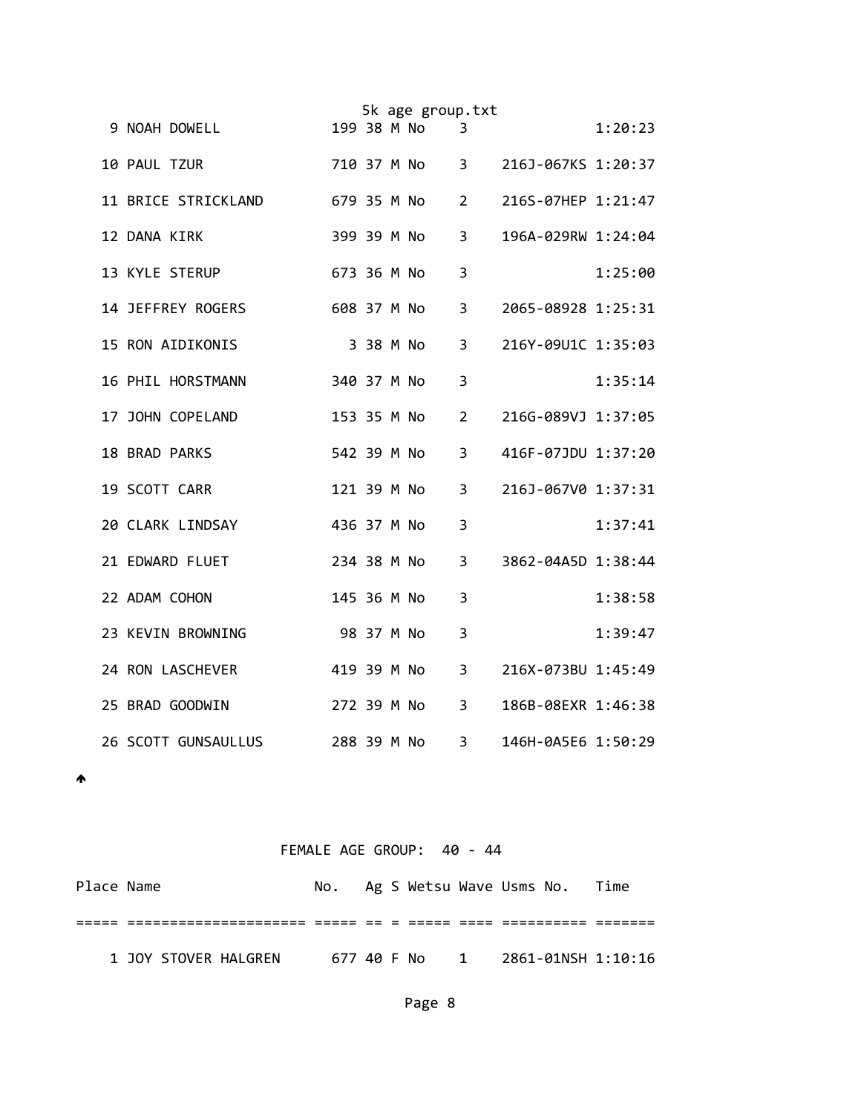|                      |             |           | 5k age group.txt |                |                    |         |
|----------------------|-------------|-----------|------------------|----------------|--------------------|---------|
| 9 NOAH DOWELL        | 199 38 M No |           |                  | 3              |                    | 1:20:23 |
| 10 PAUL TZUR         |             |           | 710 37 M No      | 3 <sup>7</sup> | 216J-067KS 1:20:37 |         |
| 11 BRICE STRICKLAND  |             |           | 679 35 M No      | $\overline{2}$ | 216S-07HEP 1:21:47 |         |
| 12 DANA KIRK         | 399 39 M No |           |                  | 3              | 196A-029RW 1:24:04 |         |
| 13 KYLE STERUP       | 673 36 M No |           |                  | 3              |                    | 1:25:00 |
| 14 JEFFREY ROGERS    | 608 37 M No |           |                  | 3              | 2065-08928 1:25:31 |         |
| 15 RON AIDIKONIS     |             | 3 38 M No |                  | 3              | 216Y-09U1C 1:35:03 |         |
| 16 PHIL HORSTMANN    | 340 37 M No |           |                  | 3              |                    | 1:35:14 |
| 17 JOHN COPELAND     | 153 35 M No |           |                  | 2              | 216G-089VJ 1:37:05 |         |
| <b>18 BRAD PARKS</b> | 542 39 M No |           |                  | 3              | 416F-07JDU 1:37:20 |         |
| 19 SCOTT CARR        | 121 39 M No |           |                  | 3              | 216J-067V0 1:37:31 |         |
| 20 CLARK LINDSAY     | 436 37 M No |           |                  | $\overline{3}$ |                    | 1:37:41 |
| 21 EDWARD FLUET      | 234 38 M No |           |                  | 3              | 3862-04A5D 1:38:44 |         |
| 22 ADAM COHON        | 145 36 M No |           |                  | 3              |                    | 1:38:58 |
| 23 KEVIN BROWNING    | 98 37 M No  |           |                  | 3              |                    | 1:39:47 |
| 24 RON LASCHEVER     | 419 39 M No |           |                  | 3              | 216X-073BU 1:45:49 |         |
| 25 BRAD GOODWIN      | 272 39 M No |           |                  | 3              | 186B-08EXR 1:46:38 |         |
| 26 SCOTT GUNSAULLUS  | 288 39 M No |           |                  | 3              | 146H-0A5E6 1:50:29 |         |

 $\spadesuit$ 

## FEMALE AGE GROUP: 40 ‐ 44

| Place Name |                      |  |  | No. Ag S Wetsu Wave Usms No.     | Time |
|------------|----------------------|--|--|----------------------------------|------|
|            |                      |  |  |                                  |      |
|            | 1 JOY STOVER HALGREN |  |  | 677 40 F No 1 2861-01NSH 1:10:16 |      |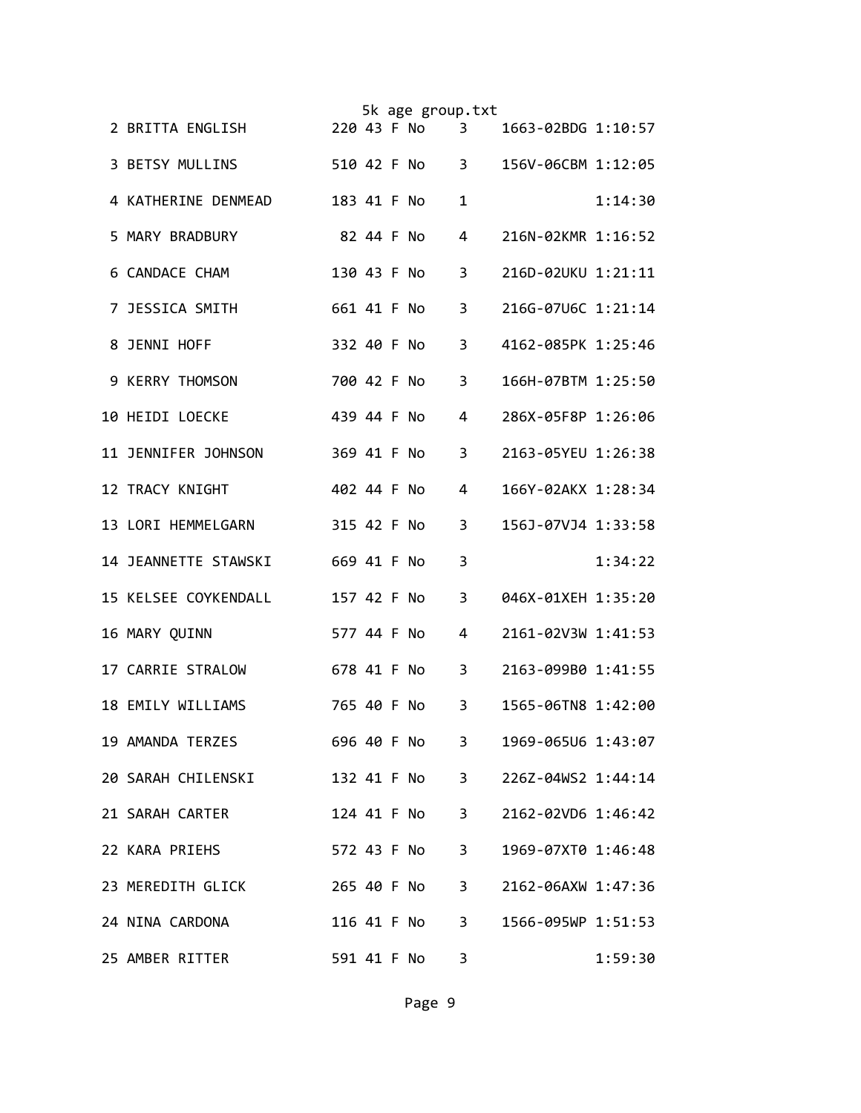|  |                      |             |            | 5k age group.txt |                |                    |         |
|--|----------------------|-------------|------------|------------------|----------------|--------------------|---------|
|  | 2 BRITTA ENGLISH     |             |            | 220 43 F No      | 3              | 1663-02BDG 1:10:57 |         |
|  | 3 BETSY MULLINS      |             |            | 510 42 F No      | $3^{\circ}$    | 156V-06CBM 1:12:05 |         |
|  | 4 KATHERINE DENMEAD  | 183 41 F No |            |                  | 1              |                    | 1:14:30 |
|  | 5 MARY BRADBURY      |             | 82 44 F No |                  | 4              | 216N-02KMR 1:16:52 |         |
|  | 6 CANDACE CHAM       | 130 43 F No |            |                  | 3              | 216D-02UKU 1:21:11 |         |
|  | 7 JESSICA SMITH      | 661 41 F No |            |                  | 3              | 216G-07U6C 1:21:14 |         |
|  | 8 JENNI HOFF         | 332 40 F No |            |                  | 3              | 4162-085PK 1:25:46 |         |
|  | 9 KERRY THOMSON      | 700 42 F No |            |                  | 3              | 166H-07BTM 1:25:50 |         |
|  | 10 HEIDI LOECKE      | 439 44 F No |            |                  | 4              | 286X-05F8P 1:26:06 |         |
|  | 11 JENNIFER JOHNSON  | 369 41 F No |            |                  | 3              | 2163-05YEU 1:26:38 |         |
|  | 12 TRACY KNIGHT      | 402 44 F No |            |                  | 4              | 166Y-02AKX 1:28:34 |         |
|  | 13 LORI HEMMELGARN   | 315 42 F No |            |                  | 3              | 156J-07VJ4 1:33:58 |         |
|  | 14 JEANNETTE STAWSKI | 669 41 F No |            |                  | 3              |                    | 1:34:22 |
|  | 15 KELSEE COYKENDALL | 157 42 F No |            |                  | 3              | 046X-01XEH 1:35:20 |         |
|  | 16 MARY QUINN        | 577 44 F No |            |                  | 4              | 2161-02V3W 1:41:53 |         |
|  | 17 CARRIE STRALOW    | 678 41 F No |            |                  | 3              | 2163-099B0 1:41:55 |         |
|  | 18 EMILY WILLIAMS    | 765 40 F No |            |                  | 3              | 1565-06TN8 1:42:00 |         |
|  | 19 AMANDA TERZES     |             |            | 696 40 F No      | 3 <sup>7</sup> | 1969-065U6 1:43:07 |         |
|  | 20 SARAH CHILENSKI   |             |            | 132 41 F No      | $3^{\circ}$    | 226Z-04WS2 1:44:14 |         |
|  | 21 SARAH CARTER      |             |            | 124 41 F No      | $3^{\circ}$    | 2162-02VD6 1:46:42 |         |
|  | 22 KARA PRIEHS       |             |            | 572 43 F No      | 3 <sup>7</sup> | 1969-07XT0 1:46:48 |         |
|  | 23 MEREDITH GLICK    |             |            | 265 40 F No      | 3 <sup>7</sup> | 2162-06AXW 1:47:36 |         |
|  | 24 NINA CARDONA      |             |            | 116 41 F No      | $3^{\circ}$    | 1566-095WP 1:51:53 |         |
|  | 25 AMBER RITTER      |             |            | 591 41 F No      | 3              |                    | 1:59:30 |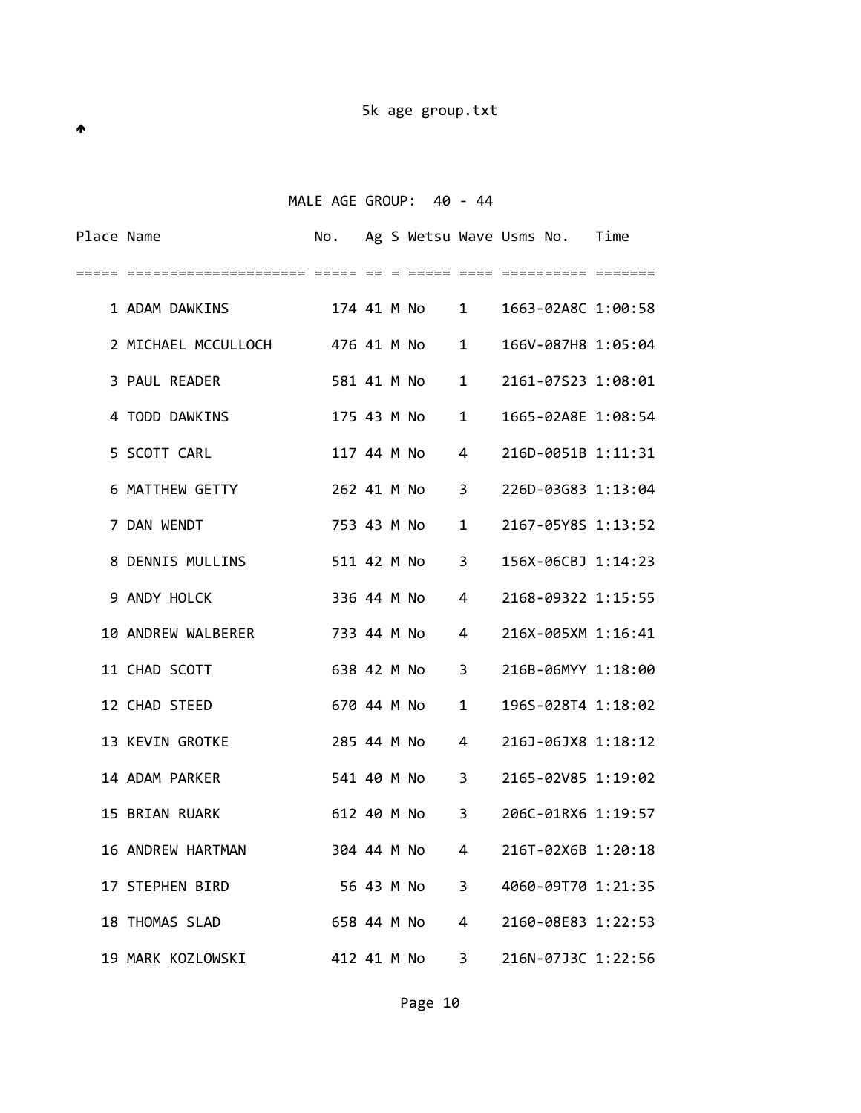MALE AGE GROUP: 40 - 44

| Place Name |                                   |               |  |               |                        | No. Ag S Wetsu Wave Usms No. Time |  |
|------------|-----------------------------------|---------------|--|---------------|------------------------|-----------------------------------|--|
| =====      |                                   |               |  |               |                        |                                   |  |
|            | 1 ADAM DAWKINS                    |               |  | 174 41 M No 1 |                        | 1663-02A8C 1:00:58                |  |
|            | 2 MICHAEL MCCULLOCH 476 41 M No 1 |               |  |               |                        | 166V-087H8 1:05:04                |  |
|            | 3 PAUL READER                     | 581 41 M No   |  |               | $1 \quad \blacksquare$ | 2161-07S23 1:08:01                |  |
|            | 4 TODD DAWKINS                    |               |  |               | $\mathbf{1}$           | 1665-02A8E 1:08:54                |  |
|            | 5 SCOTT CARL                      |               |  |               | $4 \quad$              | 216D-0051B 1:11:31                |  |
|            | 6 MATTHEW GETTY                   |               |  |               |                        | 262 41 M No 3 226D-03G83 1:13:04  |  |
|            | 7 DAN WENDT                       |               |  | 753 43 M No   |                        | 1 2167-05Y8S 1:13:52              |  |
|            | 8 DENNIS MULLINS                  | 511 42 M No 3 |  |               |                        | 156X-06CBJ 1:14:23                |  |
|            | 9 ANDY HOLCK                      |               |  | 336 44 M No 4 |                        | 2168-09322 1:15:55                |  |
|            | 10 ANDREW WALBERER 733 44 M No    |               |  |               | $\overline{4}$         | 216X-005XM 1:16:41                |  |
|            | 11 CHAD SCOTT                     | 638 42 M No   |  |               | $3^{\circ}$            | 216B-06MYY 1:18:00                |  |
|            | 12 CHAD STEED                     |               |  | 670 44 M No   | $\mathbf{1}$           | 196S-028T4 1:18:02                |  |
|            | 13 KEVIN GROTKE                   | 285 44 M No 4 |  |               |                        | 216J-06JX8 1:18:12                |  |
|            | 14 ADAM PARKER                    |               |  |               |                        | 541 40 M No 3 2165-02V85 1:19:02  |  |
|            | <b>15 BRIAN RUARK</b>             |               |  | 612 40 M No 3 |                        | 206C-01RX6 1:19:57                |  |
|            | 16 ANDREW HARTMAN                 |               |  | 304 44 M No   |                        | 4 216T-02X6B 1:20:18              |  |
|            | 17 STEPHEN BIRD                   |               |  | 56 43 M No    | 3                      | 4060-09T70 1:21:35                |  |
|            | 18 THOMAS SLAD                    |               |  | 658 44 M No   | $\overline{4}$         | 2160-08E83 1:22:53                |  |
|            | 19 MARK KOZLOWSKI                 | 412 41 M No   |  |               | 3                      | 216N-07J3C 1:22:56                |  |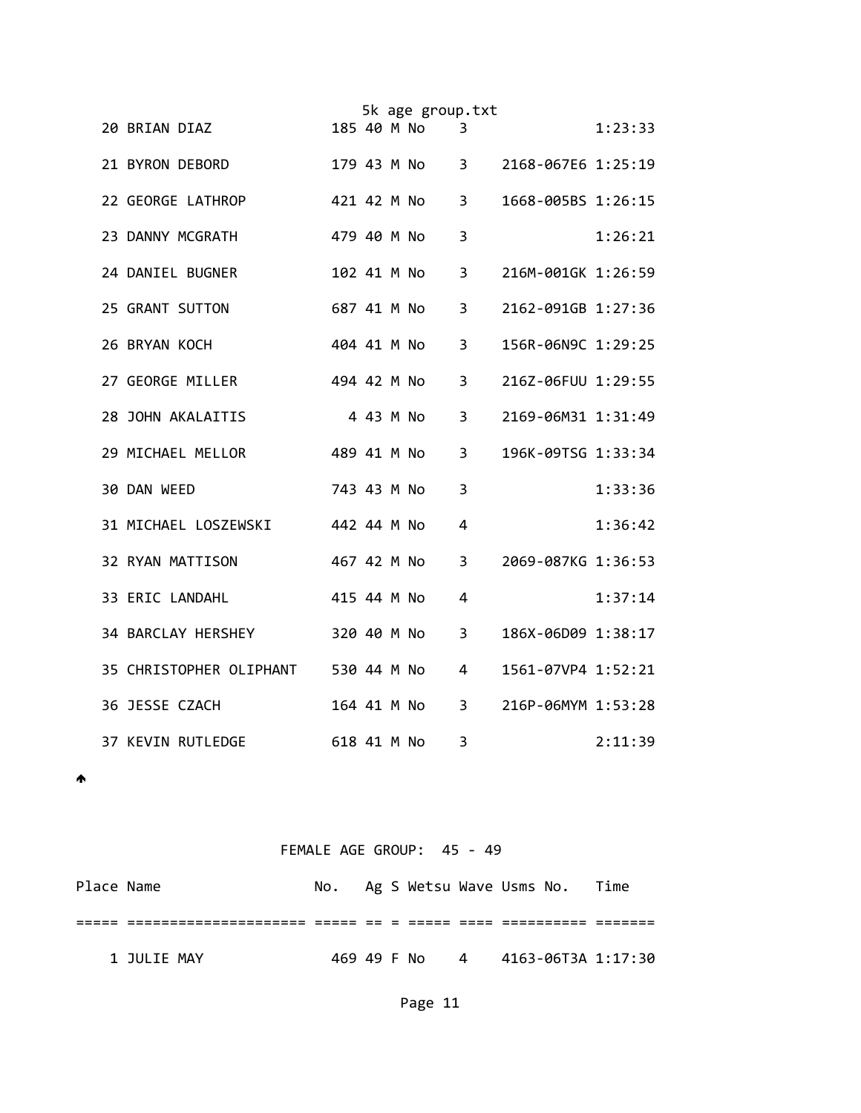|  |                                     |             |           | 5k age group.txt |                |                    |         |
|--|-------------------------------------|-------------|-----------|------------------|----------------|--------------------|---------|
|  | 20 BRIAN DIAZ                       | 185 40 M No |           |                  | 3              |                    | 1:23:33 |
|  | 21 BYRON DEBORD                     |             |           |                  | $3^{\circ}$    | 2168-067E6 1:25:19 |         |
|  | 22 GEORGE LATHROP                   | 421 42 M No |           |                  | 3              | 1668-005BS 1:26:15 |         |
|  | 23 DANNY MCGRATH                    | 479 40 M No |           |                  | 3              |                    | 1:26:21 |
|  | 24 DANIEL BUGNER                    | 102 41 M No |           |                  | 3              | 216M-001GK 1:26:59 |         |
|  | 25 GRANT SUTTON                     | 687 41 M No |           |                  | 3              | 2162-091GB 1:27:36 |         |
|  | 26 BRYAN KOCH                       | 404 41 M No |           |                  | 3              | 156R-06N9C 1:29:25 |         |
|  | 27 GEORGE MILLER                    | 494 42 M No |           |                  | 3              | 216Z-06FUU 1:29:55 |         |
|  | 28 JOHN AKALAITIS                   |             | 4 43 M No |                  | 3              | 2169-06M31 1:31:49 |         |
|  | 29 MICHAEL MELLOR                   | 489 41 M No |           |                  | 3              | 196K-09TSG 1:33:34 |         |
|  | 30 DAN WEED                         | 743 43 M No |           |                  | 3              |                    | 1:33:36 |
|  | 442 44 M No<br>31 MICHAEL LOSZEWSKI |             |           |                  | 4              |                    | 1:36:42 |
|  | 32 RYAN MATTISON                    | 467 42 M No |           |                  | 3              | 2069-087KG 1:36:53 |         |
|  | 33 ERIC LANDAHL                     | 415 44 M No |           |                  | 4              |                    | 1:37:14 |
|  | 34 BARCLAY HERSHEY                  | 320 40 M No |           |                  | 3              | 186X-06D09 1:38:17 |         |
|  | 35 CHRISTOPHER OLIPHANT 530 44 M No |             |           |                  | $\overline{4}$ | 1561-07VP4 1:52:21 |         |
|  | 36 JESSE CZACH                      | 164 41 M No |           |                  | 3              | 216P-06MYM 1:53:28 |         |
|  | <b>37 KEVIN RUTLEDGE</b>            | 618 41 M No |           |                  | 3              |                    | 2:11:39 |

 $\spadesuit$ 

## FEMALE AGE GROUP: 45 - 49

| Place Name |             | No.         |  |  | Ag S Wetsu Wave Usms No.     | Time |
|------------|-------------|-------------|--|--|------------------------------|------|
|            |             |             |  |  |                              |      |
|            | 1 JULIE MAY | 469 49 F No |  |  | 4        4163-06T3A  1:17:30 |      |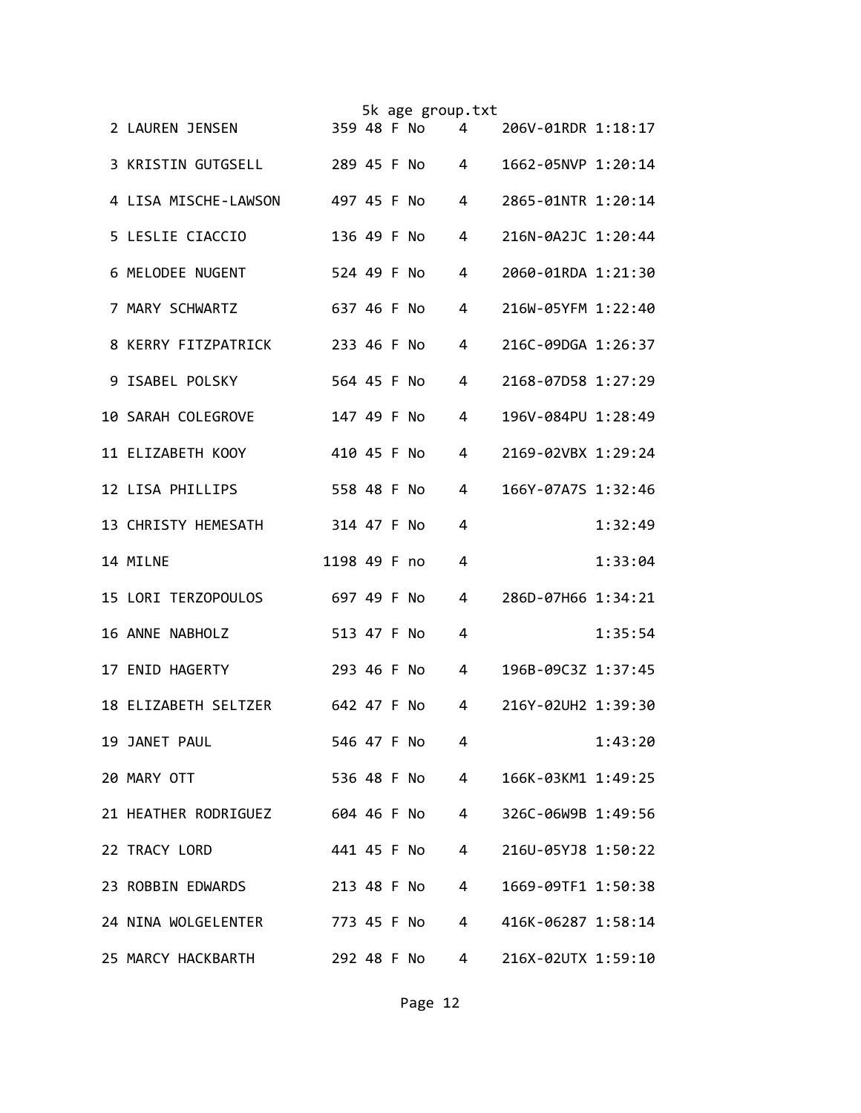|                                  |              |  | 5k age group.txt |                |                    |         |
|----------------------------------|--------------|--|------------------|----------------|--------------------|---------|
| 2 LAUREN JENSEN                  |              |  | 359 48 F No      | 4              | 206V-01RDR 1:18:17 |         |
| 3 KRISTIN GUTGSELL               |              |  | 289 45 F No      | 4              | 1662-05NVP 1:20:14 |         |
| 4 LISA MISCHE-LAWSON             | 497 45 F No  |  |                  | 4              | 2865-01NTR 1:20:14 |         |
| 5 LESLIE CIACCIO                 | 136 49 F No  |  |                  | 4              | 216N-0A2JC 1:20:44 |         |
| 6 MELODEE NUGENT                 | 524 49 F No  |  |                  | 4              | 2060-01RDA 1:21:30 |         |
| 7 MARY SCHWARTZ                  | 637 46 F No  |  |                  | 4              | 216W-05YFM 1:22:40 |         |
| 8 KERRY FITZPATRICK              | 233 46 F No  |  |                  | 4              | 216C-09DGA 1:26:37 |         |
| 9 ISABEL POLSKY                  | 564 45 F No  |  |                  | 4              | 2168-07D58 1:27:29 |         |
| <b>10 SARAH COLEGROVE</b>        | 147 49 F No  |  |                  | 4              | 196V-084PU 1:28:49 |         |
| 11 ELIZABETH KOOY                | 410 45 F No  |  |                  | 4              | 2169-02VBX 1:29:24 |         |
| 12 LISA PHILLIPS                 | 558 48 F No  |  |                  | 4              | 166Y-07A7S 1:32:46 |         |
| 13 CHRISTY HEMESATH              | 314 47 F No  |  |                  | 4              |                    | 1:32:49 |
| 14 MILNE                         | 1198 49 F no |  |                  | 4              |                    | 1:33:04 |
| 15 LORI TERZOPOULOS              | 697 49 F No  |  |                  | 4              | 286D-07H66 1:34:21 |         |
| 16 ANNE NABHOLZ                  | 513 47 F No  |  |                  | 4              |                    | 1:35:54 |
| 17 ENID HAGERTY                  | 293 46 F No  |  |                  | 4              | 196B-09C3Z 1:37:45 |         |
| 18 ELIZABETH SELTZER 642 47 F No |              |  |                  | 4              | 216Y-02UH2 1:39:30 |         |
| 19 JANET PAUL                    | 546 47 F No  |  |                  | 4              |                    | 1:43:20 |
| 20 MARY OTT                      |              |  | 536 48 F No      | $\overline{4}$ | 166K-03KM1 1:49:25 |         |
| 21 HEATHER RODRIGUEZ 604 46 F No |              |  |                  | $\overline{4}$ | 326C-06W9B 1:49:56 |         |
| 22 TRACY LORD                    |              |  | 441 45 F No      | $\overline{4}$ | 216U-05YJ8 1:50:22 |         |
| 23 ROBBIN EDWARDS                |              |  | 213 48 F No      | 4              | 1669-09TF1 1:50:38 |         |
| 24 NINA WOLGELENTER 773 45 F No  |              |  |                  | 4              | 416K-06287 1:58:14 |         |
| 25 MARCY HACKBARTH               |              |  | 292 48 F No      | 4              | 216X-02UTX 1:59:10 |         |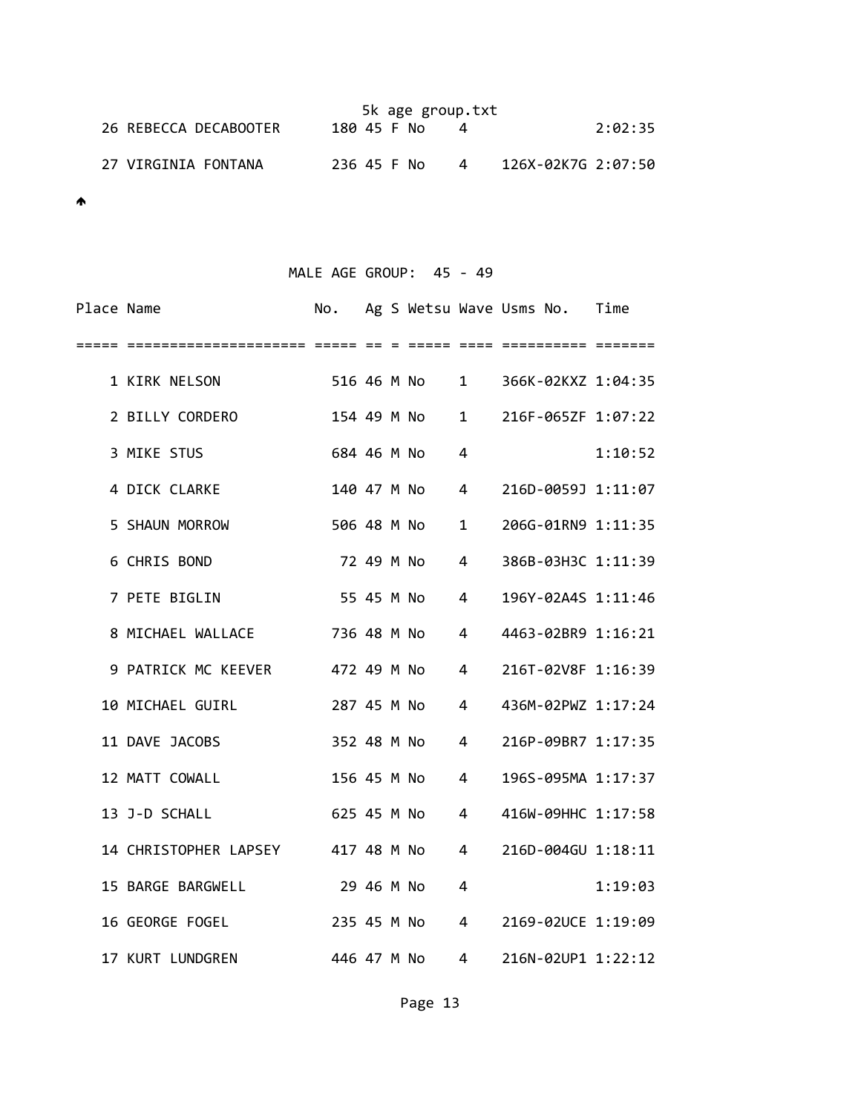|                       |             |  | 5k age group.txt |   |                    |         |
|-----------------------|-------------|--|------------------|---|--------------------|---------|
| 26 REBECCA DECABOOTER | 180 45 F No |  |                  |   |                    | 2:02:35 |
| 27 VIRGINIA FONTANA   | 236 45 F No |  |                  | 4 | 126X-02K7G 2:07:50 |         |

 $\spadesuit$ 

## MALE AGE GROUP: 45 - 49

| Place Name |                                   | No.         |  |             |              | Ag S Wetsu Wave Usms No. Time |         |
|------------|-----------------------------------|-------------|--|-------------|--------------|-------------------------------|---------|
| =====      |                                   |             |  |             |              |                               |         |
|            | 1 KIRK NELSON                     |             |  | 516 46 M No |              | 1 366K-02KXZ 1:04:35          |         |
|            | 2 BILLY CORDERO                   | 154 49 M No |  |             | 1            | 216F-065ZF 1:07:22            |         |
|            | 3 MIKE STUS                       | 684 46 M No |  |             | 4            |                               | 1:10:52 |
|            | 4 DICK CLARKE                     | 140 47 M No |  |             | 4            | 216D-0059J 1:11:07            |         |
|            | 5 SHAUN MORROW                    | 506 48 M No |  |             | $\mathbf{1}$ | 206G-01RN9 1:11:35            |         |
|            | 6 CHRIS BOND                      | 72 49 M No  |  |             | 4            | 386B-03H3C 1:11:39            |         |
|            | 7 PETE BIGLIN                     | 55 45 M No  |  |             | 4            | 196Y-02A4S 1:11:46            |         |
|            | 8 MICHAEL WALLACE                 | 736 48 M No |  |             | 4            | 4463-02BR9 1:16:21            |         |
|            | 9 PATRICK MC KEEVER 472 49 M No   |             |  |             | 4            | 216T-02V8F 1:16:39            |         |
|            | 10 MICHAEL GUIRL                  | 287 45 M No |  |             | 4            | 436M-02PWZ 1:17:24            |         |
|            | 11 DAVE JACOBS                    | 352 48 M No |  |             | 4            | 216P-09BR7 1:17:35            |         |
|            | 12 MATT COWALL                    | 156 45 M No |  |             | 4            | 196S-095MA 1:17:37            |         |
|            | 13 J-D SCHALL                     | 625 45 M No |  |             | 4            | 416W-09HHC 1:17:58            |         |
|            | 14 CHRISTOPHER LAPSEY 417 48 M No |             |  |             | 4            | 216D-004GU 1:18:11            |         |
|            | 15 BARGE BARGWELL                 | 29 46 M No  |  |             | 4            |                               | 1:19:03 |
|            | 16 GEORGE FOGEL                   | 235 45 M No |  |             | 4            | 2169-02UCE 1:19:09            |         |
|            | 17 KURT LUNDGREN                  | 446 47 M No |  |             | 4            | 216N-02UP1 1:22:12            |         |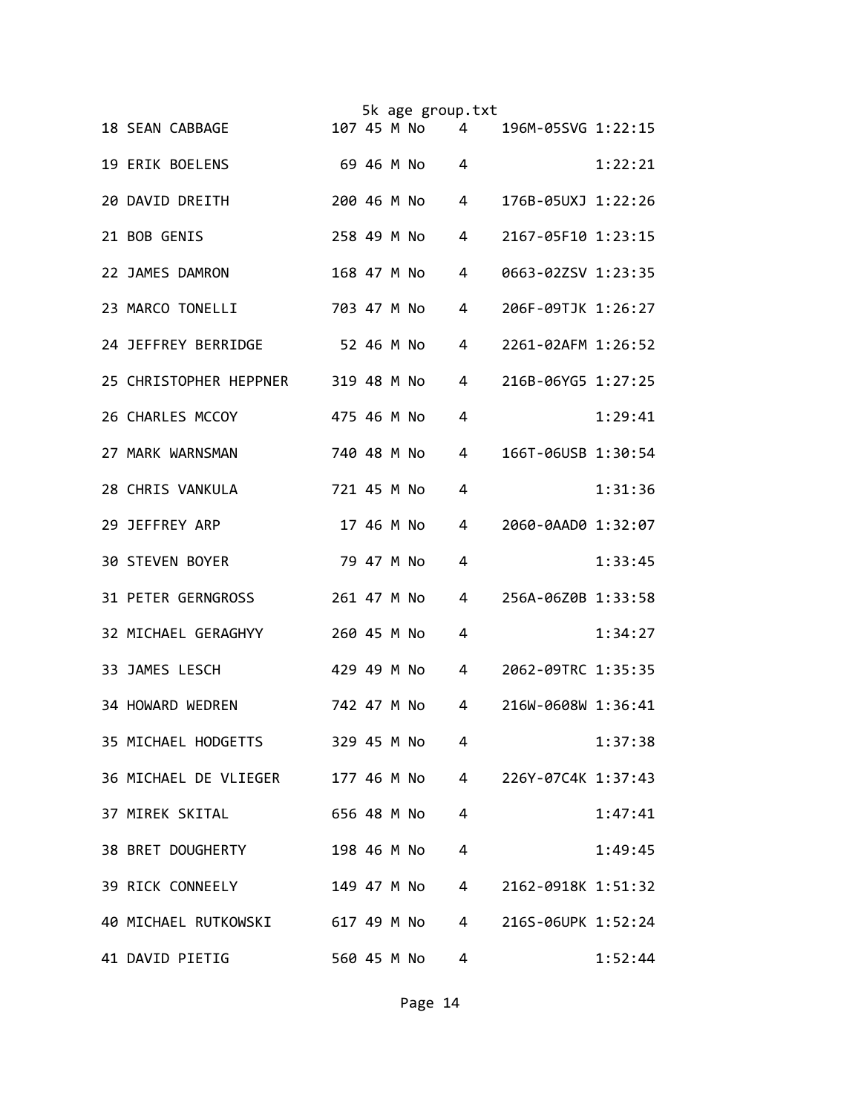|                        |                                    |             |            | 5k age group.txt |                |                      |         |
|------------------------|------------------------------------|-------------|------------|------------------|----------------|----------------------|---------|
| 18 SEAN CABBAGE        |                                    |             |            | 107 45 M No      | 4              | 196M-05SVG 1:22:15   |         |
| 19 ERIK BOELENS        |                                    |             |            | 69 46 M No       | 4              |                      | 1:22:21 |
| 20 DAVID DREITH        |                                    | 200 46 M No |            |                  | 4              | 176B-05UXJ 1:22:26   |         |
| 21 BOB GENIS           |                                    | 258 49 M No |            |                  | 4              | 2167-05F10 1:23:15   |         |
| 22 JAMES DAMRON        |                                    | 168 47 M No |            |                  | 4              | 0663-02ZSV 1:23:35   |         |
| 23 MARCO TONELLI       |                                    | 703 47 M No |            |                  | 4              | 206F-09TJK 1:26:27   |         |
|                        | 24 JEFFREY BERRIDGE                | 52 46 M No  |            |                  | 4              | 2261-02AFM 1:26:52   |         |
|                        | 25 CHRISTOPHER HEPPNER 319 48 M No |             |            |                  | 4              | 216B-06YG5 1:27:25   |         |
| 26 CHARLES MCCOY       |                                    | 475 46 M No |            |                  | 4              |                      | 1:29:41 |
| 27 MARK WARNSMAN       |                                    | 740 48 M No |            |                  | 4              | 166T-06USB 1:30:54   |         |
| 28 CHRIS VANKULA       |                                    | 721 45 M No |            |                  | 4              |                      | 1:31:36 |
| 29 JEFFREY ARP         |                                    |             | 17 46 M No |                  | 4              | 2060-0AAD0 1:32:07   |         |
| <b>30 STEVEN BOYER</b> |                                    |             | 79 47 M No |                  | 4              |                      | 1:33:45 |
|                        | <b>31 PETER GERNGROSS</b>          | 261 47 M No |            |                  | 4              | 256A-06Z0B 1:33:58   |         |
|                        | 32 MICHAEL GERAGHYY                | 260 45 M No |            |                  | 4              |                      | 1:34:27 |
| 33 JAMES LESCH         |                                    | 429 49 M No |            |                  | 4              | 2062-09TRC 1:35:35   |         |
| 34 HOWARD WEDREN       |                                    | 742 47 M No |            |                  | 4              | 216W-0608W 1:36:41   |         |
|                        | 35 MICHAEL HODGETTS                | 329 45 M No |            |                  | 4              |                      | 1:37:38 |
|                        | 36 MICHAEL DE VLIEGER 177 46 M No  |             |            |                  |                | 4 226Y-07C4K 1:37:43 |         |
|                        | 37 MIREK SKITAL                    |             |            | 656 48 M No      | 4              |                      | 1:47:41 |
|                        | 38 BRET DOUGHERTY                  |             |            | 198 46 M No      | 4              |                      | 1:49:45 |
|                        | 39 RICK CONNEELY                   |             |            | 149 47 M No      | $\overline{4}$ | 2162-0918K 1:51:32   |         |
|                        | 40 MICHAEL RUTKOWSKI 617 49 M No   |             |            |                  | $4 \quad$      | 216S-06UPK 1:52:24   |         |
| 41 DAVID PIETIG        |                                    |             |            | 560 45 M No      | 4              |                      | 1:52:44 |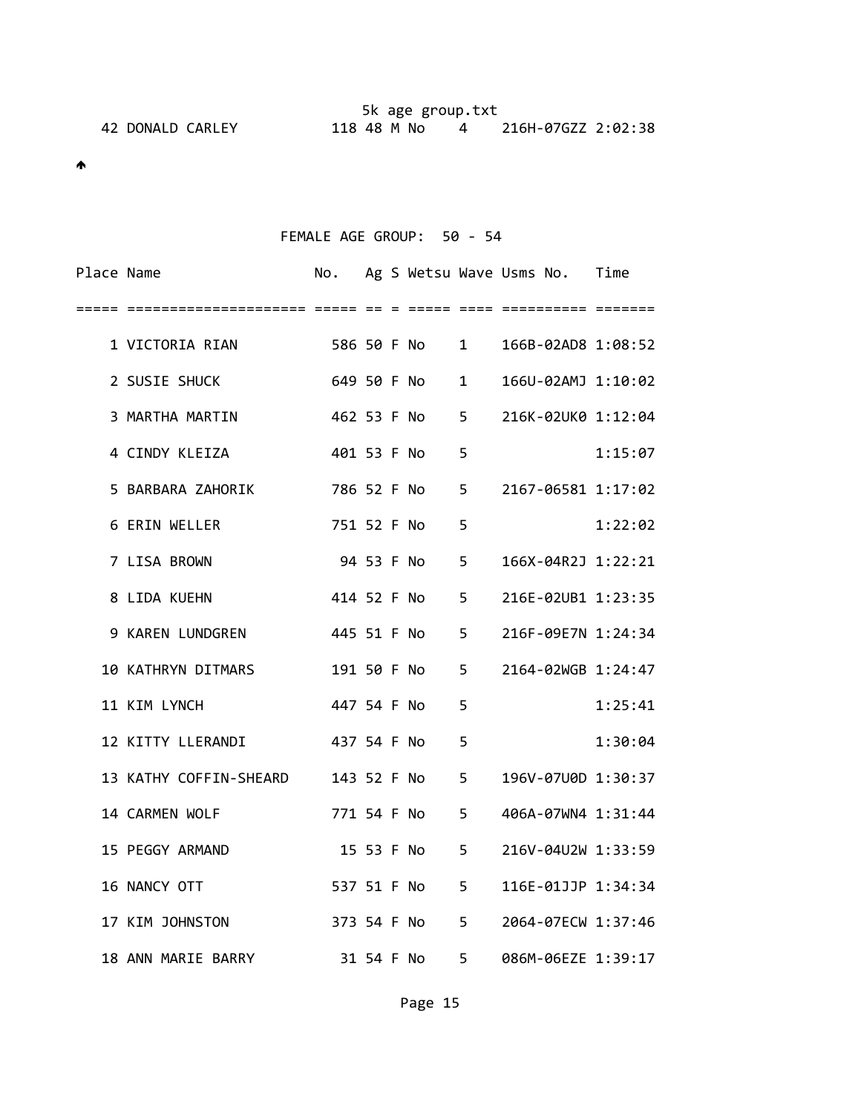## FEMALE AGE GROUP: 50 ‐ 54

| Place Name |                                                  |               |  |               |   | No. Ag S Wetsu Wave Usms No. Time |         |
|------------|--------------------------------------------------|---------------|--|---------------|---|-----------------------------------|---------|
| =====      |                                                  |               |  |               |   |                                   |         |
|            | 1 VICTORIA RIAN 586 50 F No 1 166B-02AD8 1:08:52 |               |  |               |   |                                   |         |
|            | 2 SUSIE SHUCK                                    | 649 50 F No   |  |               |   | 1 166U-02AMJ 1:10:02              |         |
|            | 3 MARTHA MARTIN                                  |               |  |               |   | 462 53 F No 5 216K-02UK0 1:12:04  |         |
|            | 4 CINDY KLEIZA                                   |               |  | 401 53 F No   | 5 |                                   | 1:15:07 |
|            | 5 BARBARA ZAHORIK                                | 786 52 F No 5 |  |               |   | 2167-06581 1:17:02                |         |
|            | 6 ERIN WELLER                                    |               |  | 751 52 F No   | 5 |                                   | 1:22:02 |
|            | 7 LISA BROWN                                     |               |  |               |   | 94 53 F No 5 166X-04R2J 1:22:21   |         |
|            | 8 LIDA KUEHN                                     | 414 52 F No 5 |  |               |   | 216E-02UB1 1:23:35                |         |
|            | 9 KAREN LUNDGREN                                 |               |  |               |   | 445 51 F No 5 216F-09E7N 1:24:34  |         |
|            | 10 KATHRYN DITMARS                               | 191 50 F No 5 |  |               |   | 2164-02WGB 1:24:47                |         |
|            | 11 KIM LYNCH                                     | 447 54 F No   |  |               | 5 |                                   | 1:25:41 |
|            | 12 KITTY LLERANDI 437 54 F No                    |               |  |               | 5 |                                   | 1:30:04 |
|            | 13 KATHY COFFIN-SHEARD 143 52 F No 5             |               |  |               |   | 196V-07U0D 1:30:37                |         |
|            | 14 CARMEN WOLF                                   |               |  | 771 54 F No 5 |   | 406A-07WN4 1:31:44                |         |
|            | 15 PEGGY ARMAND                                  |               |  | 15 53 F No 5  |   | 216V-04U2W 1:33:59                |         |
|            | 16 NANCY OTT                                     |               |  | 537 51 F No 5 |   | 116E-01JJP 1:34:34                |         |
|            | 17 KIM JOHNSTON                                  |               |  | 373 54 F No 5 |   | 2064-07ECW 1:37:46                |         |
|            | 18 ANN MARIE BARRY                               |               |  |               |   | 31 54 F No 5 086M-06EZE 1:39:17   |         |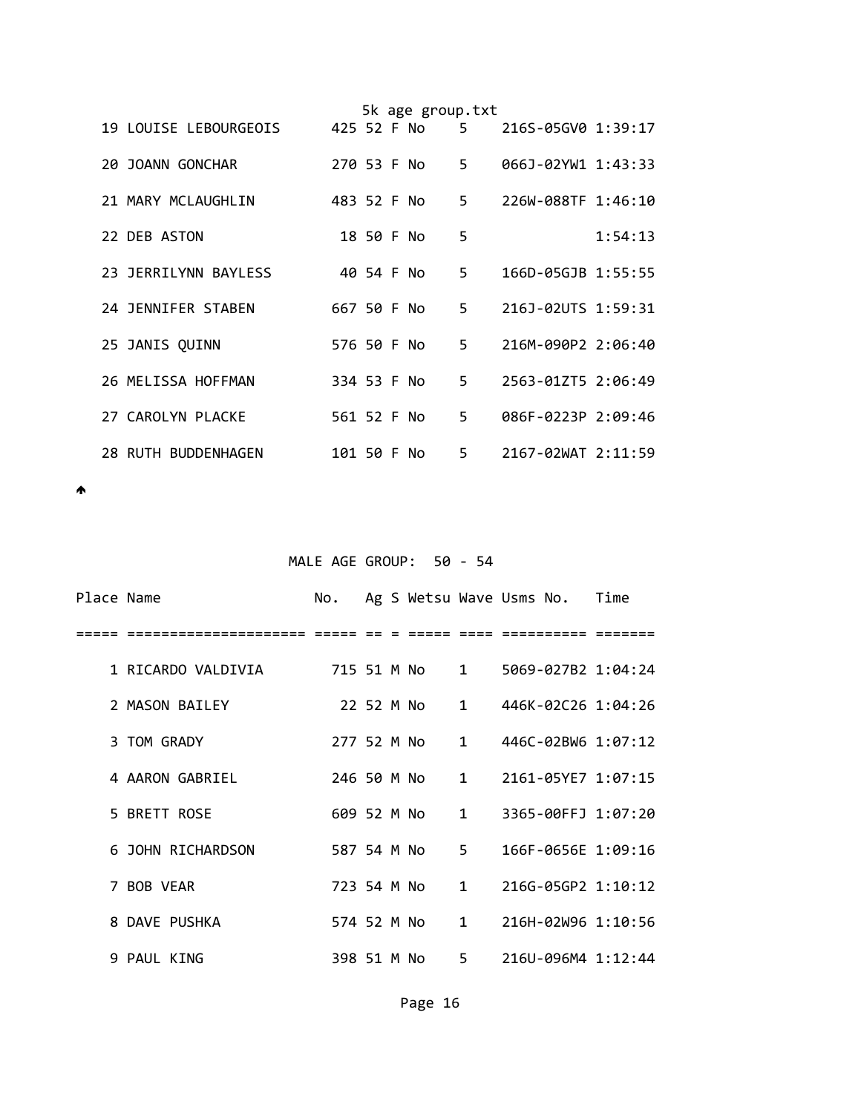|  |                       |             |            | 5k age group.txt |       |                      |         |
|--|-----------------------|-------------|------------|------------------|-------|----------------------|---------|
|  | 19 LOUISE LEBOURGEOIS |             |            | 425 52 F No      |       | 5 216S-05GV0 1:39:17 |         |
|  | 20 JOANN GONCHAR      | 270 53 F No |            |                  | $5 -$ | 066J-02YW1 1:43:33   |         |
|  | 21 MARY MCLAUGHLIN    | 483 52 F No |            |                  | 5.    | 226W-088TF 1:46:10   |         |
|  | 22 DEB ASTON          |             | 18 50 F No |                  | 5     |                      | 1:54:13 |
|  | 23 JERRILYNN BAYLESS  |             | 40 54 F No |                  | 5.    | 166D-05GJB 1:55:55   |         |
|  | 24 JENNIFER STABEN    | 667 50 F No |            |                  | 5.    | 216J-02UTS 1:59:31   |         |
|  | 25 JANIS QUINN        | 576 50 F No |            |                  |       | 5 216M-090P2 2:06:40 |         |
|  | 26 MELISSA HOFFMAN    | 334 53 F No |            |                  | $5 -$ | 2563-01ZT5 2:06:49   |         |
|  | 27 CAROLYN PLACKE     | 561 52 F No |            |                  | 5.    | 086F-0223P 2:09:46   |         |
|  | 28 RUTH BUDDENHAGEN   | 101 50 F No |            |                  | 5.    | 2167-02WAT 2:11:59   |         |

# MALE AGE GROUP: 50 - 54

| Place Name |                    |  |               | No. Ag S Wetsu Wave Usms No. Time |  |
|------------|--------------------|--|---------------|-----------------------------------|--|
|            |                    |  |               |                                   |  |
|            | 1 RICARDO VALDIVIA |  |               | 5069-027B2 1:04:24                |  |
|            | 2 MASON BAILEY     |  |               | 22 52 M No 1 446K-02C26 1:04:26   |  |
|            | 3 TOM GRADY        |  | 277 52 M No 1 | 446C-02BW6 1:07:12                |  |
|            | 4 AARON GABRIEL    |  |               | 246 50 M No 1 2161-05YE7 1:07:15  |  |
|            | 5 BRETT ROSE       |  | 609 52 M No 1 | 3365-00FFJ 1:07:20                |  |
|            | 6 JOHN RICHARDSON  |  | 587 54 M No 5 | 166F-0656E 1:09:16                |  |
|            | 7 BOB VEAR         |  | 723 54 M No 1 | 216G-05GP2 1:10:12                |  |
|            | 8 DAVE PUSHKA      |  |               | 574 52 M No 1 216H-02W96 1:10:56  |  |
|            | 9 PAUL KING        |  |               | 398 51 M No 5 216U-096M4 1:12:44  |  |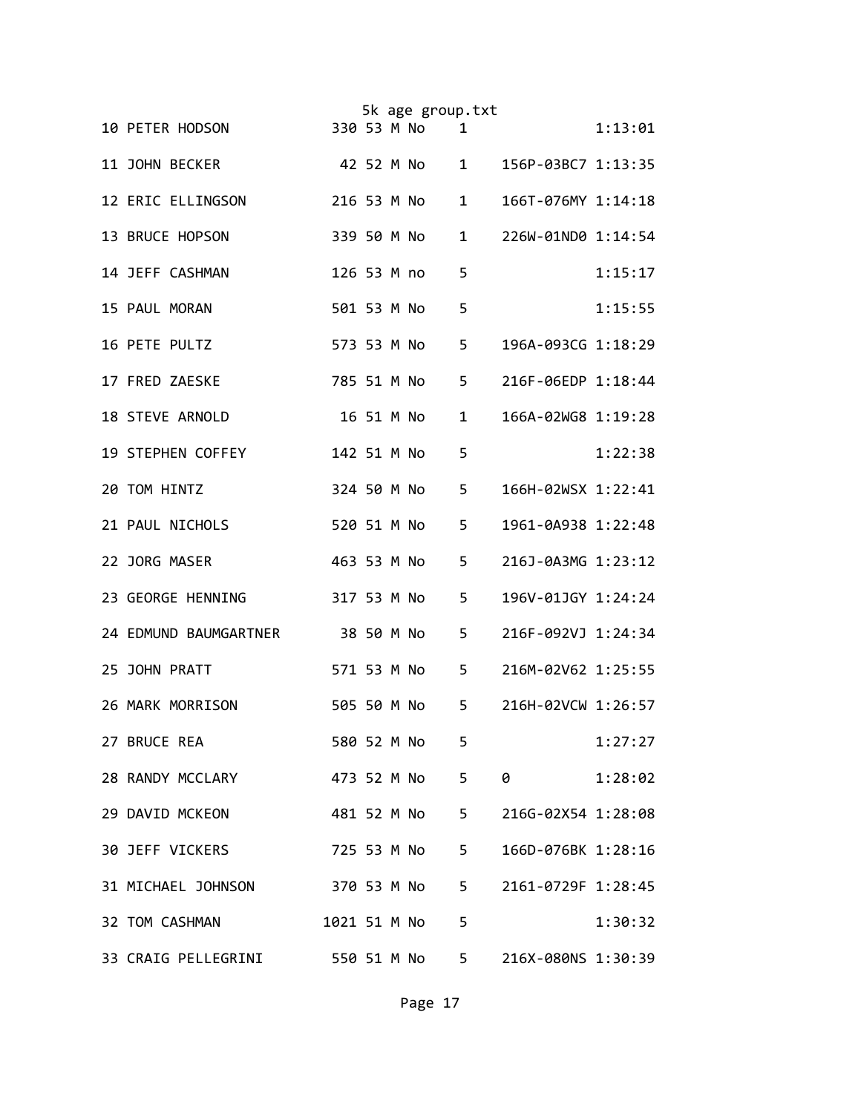|                                  |             |  | 5k age group.txt |                |                    |         |
|----------------------------------|-------------|--|------------------|----------------|--------------------|---------|
| 10 PETER HODSON                  |             |  | 330 53 M No      | $\mathbf{1}$   |                    | 1:13:01 |
| 11 JOHN BECKER                   |             |  | 42 52 M No       | $1 \quad$      | 156P-03BC7 1:13:35 |         |
| 12 ERIC ELLINGSON                |             |  | 216 53 M No      | $\mathbf{1}$   | 166T-076MY 1:14:18 |         |
| 13 BRUCE HOPSON                  | 339 50 M No |  |                  | $\mathbf{1}$   | 226W-01ND0 1:14:54 |         |
| 14 JEFF CASHMAN                  | 126 53 M no |  |                  | 5              |                    | 1:15:17 |
| 15 PAUL MORAN                    | 501 53 M No |  |                  | 5              |                    | 1:15:55 |
| 16 PETE PULTZ                    | 573 53 M No |  |                  | 5              | 196A-093CG 1:18:29 |         |
| 17 FRED ZAESKE                   | 785 51 M No |  |                  | 5              | 216F-06EDP 1:18:44 |         |
| 18 STEVE ARNOLD                  |             |  | 16 51 M No       | $\mathbf{1}$   | 166A-02WG8 1:19:28 |         |
| 19 STEPHEN COFFEY                | 142 51 M No |  |                  | 5              |                    | 1:22:38 |
| 20 TOM HINTZ                     | 324 50 M No |  |                  | 5              | 166H-02WSX 1:22:41 |         |
| 21 PAUL NICHOLS                  | 520 51 M No |  |                  | 5              | 1961-0A938 1:22:48 |         |
| 22 JORG MASER                    | 463 53 M No |  |                  | 5              | 216J-0A3MG 1:23:12 |         |
| 23 GEORGE HENNING                | 317 53 M No |  |                  | 5              | 196V-01JGY 1:24:24 |         |
| 24 EDMUND BAUMGARTNER 38 50 M No |             |  |                  | 5              | 216F-092VJ 1:24:34 |         |
| 25 JOHN PRATT                    |             |  | 571 53 M No      | 5              | 216M-02V62 1:25:55 |         |
| 26 MARK MORRISON                 |             |  | 505 50 M No      | 5              | 216H-02VCW 1:26:57 |         |
| 27 BRUCE REA                     | 580 52 M No |  |                  | 5              |                    | 1:27:27 |
| 28 RANDY MCCLARY 473 52 M No     |             |  |                  | 5              | $\theta$           | 1:28:02 |
| 29 DAVID MCKEON                  |             |  | 481 52 M No      | 5 <sub>1</sub> | 216G-02X54 1:28:08 |         |
| <b>30 JEFF VICKERS</b>           |             |  | 725 53 M No      | 5 <sub>1</sub> | 166D-076BK 1:28:16 |         |
| 31 MICHAEL JOHNSON               |             |  | 370 53 M No      | 5 <sub>1</sub> | 2161-0729F 1:28:45 |         |
| 32 TOM CASHMAN                   |             |  | 1021 51 M No     | 5              |                    | 1:30:32 |
| 33 CRAIG PELLEGRINI 550 51 M No  |             |  |                  | $5 -$          | 216X-080NS 1:30:39 |         |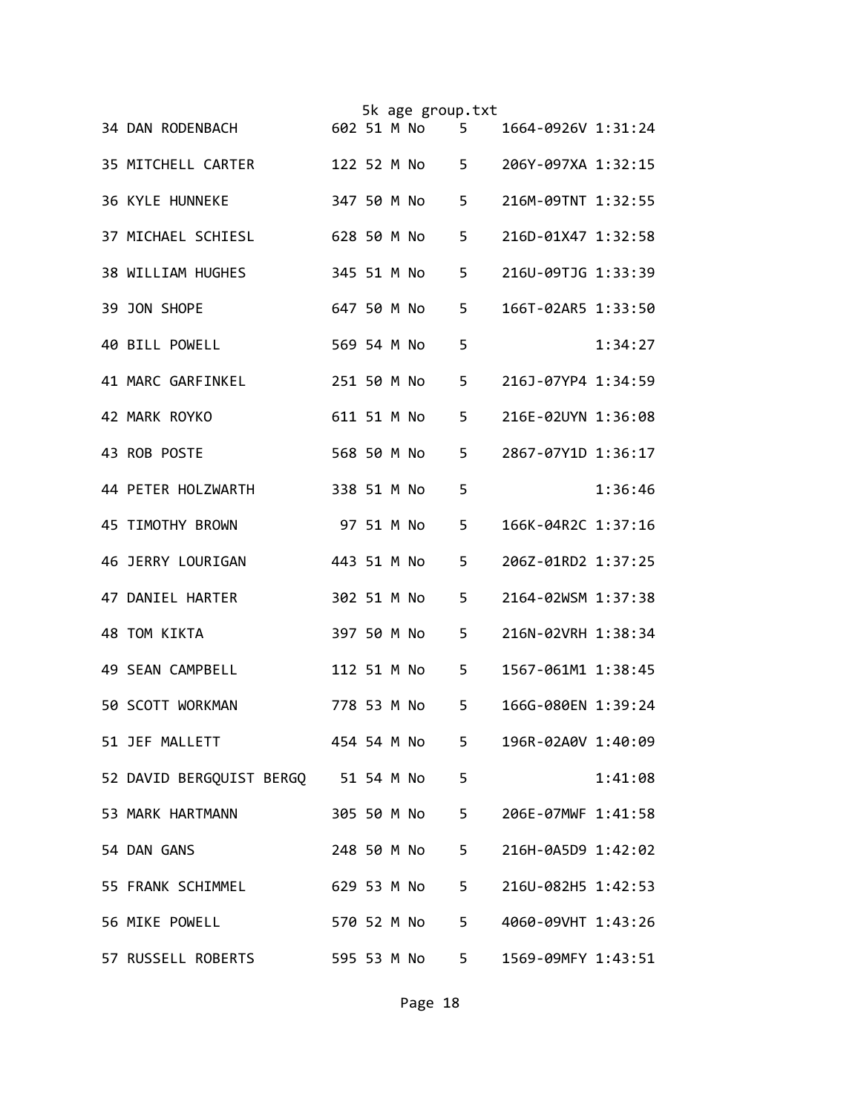|                                     |             |            | 5k age group.txt |       |                    |         |
|-------------------------------------|-------------|------------|------------------|-------|--------------------|---------|
| 34 DAN RODENBACH                    |             |            | 602 51 M No      | 5     | 1664-0926V 1:31:24 |         |
| 35 MITCHELL CARTER                  |             |            | 122 52 M No      | $5 -$ | 206Y-097XA 1:32:15 |         |
| <b>36 KYLE HUNNEKE</b>              |             |            | 347 50 M No      | 5     | 216M-09TNT 1:32:55 |         |
| 37 MICHAEL SCHIESL                  | 628 50 M No |            |                  | 5     | 216D-01X47 1:32:58 |         |
| 38 WILLIAM HUGHES                   | 345 51 M No |            |                  | 5     | 216U-09TJG 1:33:39 |         |
| 39 JON SHOPE                        | 647 50 M No |            |                  | 5     | 166T-02AR5 1:33:50 |         |
| 40 BILL POWELL                      | 569 54 M No |            |                  | 5     |                    | 1:34:27 |
| 41 MARC GARFINKEL                   | 251 50 M No |            |                  | 5     | 216J-07YP4 1:34:59 |         |
| 42 MARK ROYKO                       | 611 51 M No |            |                  | 5     | 216E-02UYN 1:36:08 |         |
| 43 ROB POSTE                        | 568 50 M No |            |                  | 5     | 2867-07Y1D 1:36:17 |         |
| 44 PETER HOLZWARTH                  | 338 51 M No |            |                  | 5     |                    | 1:36:46 |
| 45 TIMOTHY BROWN                    |             | 97 51 M No |                  | 5     | 166K-04R2C 1:37:16 |         |
| 46 JERRY LOURIGAN                   | 443 51 M No |            |                  | 5     | 206Z-01RD2 1:37:25 |         |
| 47 DANIEL HARTER                    | 302 51 M No |            |                  | 5     | 2164-02WSM 1:37:38 |         |
| 48 TOM KIKTA                        | 397 50 M No |            |                  | 5     | 216N-02VRH 1:38:34 |         |
| 49 SEAN CAMPBELL                    |             |            | 112 51 M No      | 5     | 1567-061M1 1:38:45 |         |
| 50 SCOTT WORKMAN                    |             |            | 778 53 M No      | 5     | 166G-080EN 1:39:24 |         |
| 51 JEF MALLETT                      |             |            | 454 54 M No      | $5 -$ | 196R-02A0V 1:40:09 |         |
| 52 DAVID BERGQUIST BERGQ 51 54 M No |             |            |                  | 5     |                    | 1:41:08 |
| 53 MARK HARTMANN                    |             |            | 305 50 M No      | $5 -$ | 206E-07MWF 1:41:58 |         |
| 54 DAN GANS                         |             |            | 248 50 M No      | $5 -$ | 216H-0A5D9 1:42:02 |         |
| 55 FRANK SCHIMMEL                   |             |            | 629 53 M No      | $5 -$ | 216U-082H5 1:42:53 |         |
| 56 MIKE POWELL<br>570 52 M No       |             |            |                  | $5 -$ | 4060-09VHT 1:43:26 |         |
| 57 RUSSELL ROBERTS                  |             |            | 595 53 M No      | $5 -$ | 1569-09MFY 1:43:51 |         |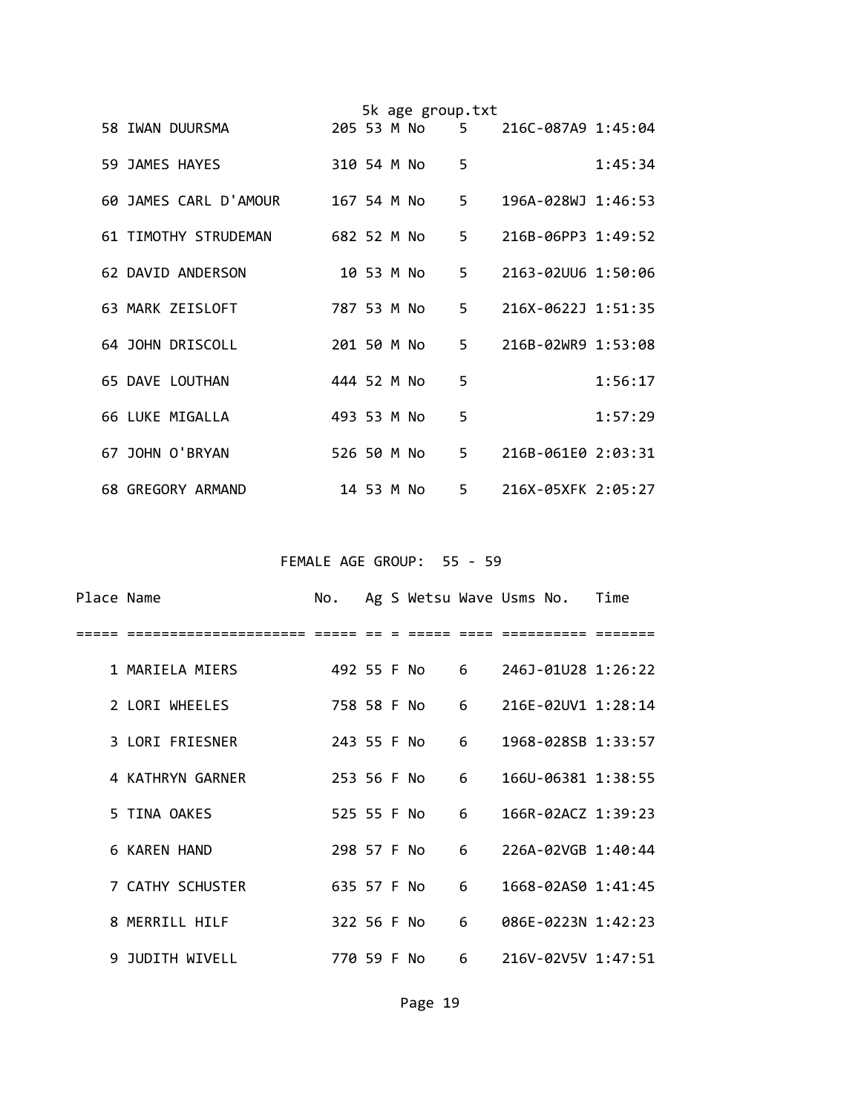|  |                        |             |            | 5k age group.txt |       |                      |         |
|--|------------------------|-------------|------------|------------------|-------|----------------------|---------|
|  | 58 IWAN DUURSMA        | 205 53 M No |            |                  |       | 5 216C-087A9 1:45:04 |         |
|  | 59 JAMES HAYES         | 310 54 M No |            |                  | 5     |                      | 1:45:34 |
|  | 60 JAMES CARL D'AMOUR  | 167 54 M No |            |                  | 5.    | 196A-028WJ 1:46:53   |         |
|  | 61 TIMOTHY STRUDEMAN   | 682 52 M No |            |                  | $5 -$ | 216B-06PP3 1:49:52   |         |
|  | 62 DAVID ANDERSON      |             | 10 53 M No |                  | 5.    | 2163-02UU6 1:50:06   |         |
|  | 63 MARK ZEISLOFT       | 787 53 M No |            |                  |       | 5 216X-0622J 1:51:35 |         |
|  | 64 JOHN DRISCOLL       | 201 50 M No |            |                  |       | 5 216B-02WR9 1:53:08 |         |
|  | <b>65 DAVE LOUTHAN</b> | 444 52 M No |            |                  | 5     |                      | 1:56:17 |
|  | 66 LUKE MIGALLA        | 493 53 M No |            |                  | 5     |                      | 1:57:29 |
|  | 67 JOHN O'BRYAN        | 526 50 M No |            |                  | 5.    | 216B-061E0 2:03:31   |         |
|  | 68 GREGORY ARMAND      |             | 14 53 M No |                  |       | 5 216X-05XFK 2:05:27 |         |

FEMALE AGE GROUP: 55 - 59

| Place Name |                     | No. |  | Ag S Wetsu Wave Usms No. Time |   |  |                                |
|------------|---------------------|-----|--|-------------------------------|---|--|--------------------------------|
|            |                     |     |  |                               |   |  |                                |
|            | 1 MARIELA MIERS     |     |  | 492 55 F No                   |   |  | $6 \qquad 246$ J-01U28 1:26:22 |
|            | 2 LORI WHEELES      |     |  | 758 58 F No 6                 |   |  | 216E-02UV1 1:28:14             |
|            | 3 LORI FRIESNER     |     |  | 243 55 F No                   | 6 |  | 1968-028SB 1:33:57             |
|            | 4 KATHRYN GARNER    |     |  | 253 56 F No 6                 |   |  | 166U-06381 1:38:55             |
|            | 5 TINA OAKES        |     |  | 525 55 F No                   | 6 |  | 166R-02ACZ 1:39:23             |
|            | <b>6 KAREN HAND</b> |     |  | 298 57 F No                   | 6 |  | 226A-02VGB 1:40:44             |
|            | 7 CATHY SCHUSTER    |     |  | 635 57 F No                   | 6 |  | 1668-02AS0 1:41:45             |
|            | 8 MERRILL HILF      |     |  | 322 56 F No                   | 6 |  | 086E-0223N 1:42:23             |
|            | 9 JUDITH WIVELL     |     |  | 770 59 F No                   |   |  | 6 216V-02V5V 1:47:51           |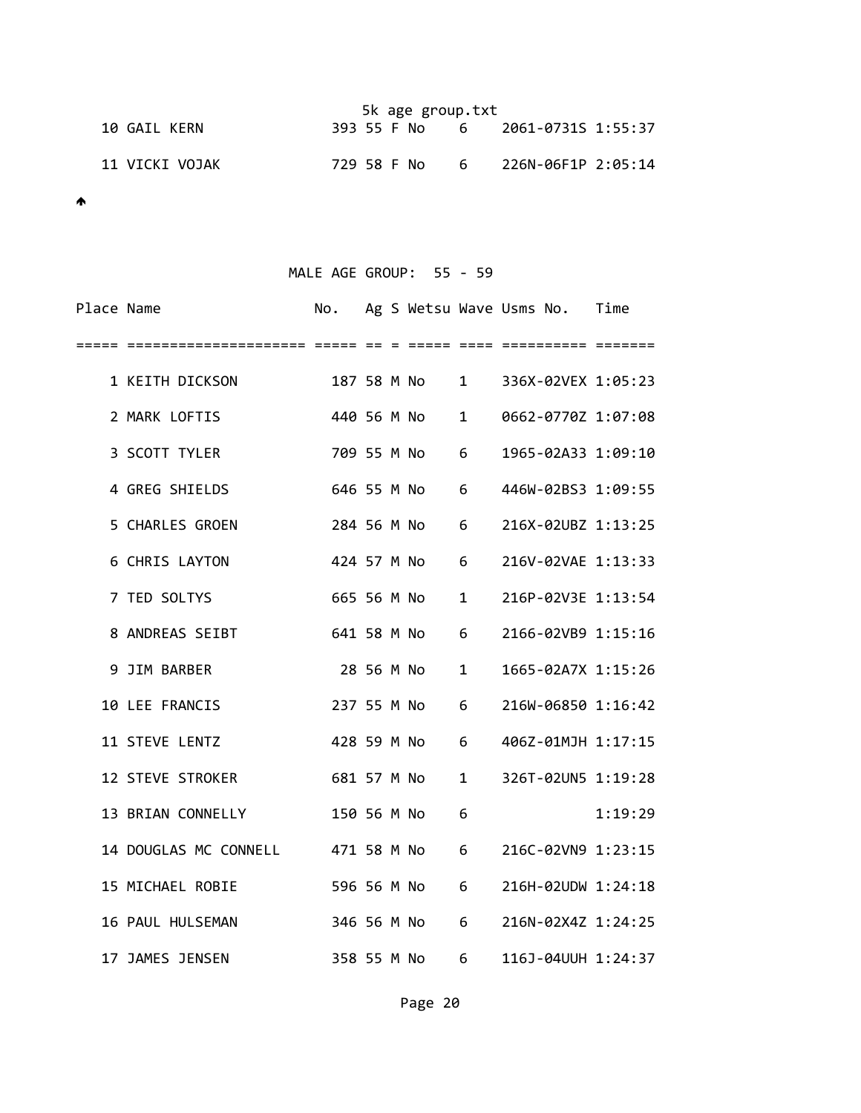|                | 5k age group.txt                    |
|----------------|-------------------------------------|
| 10 GAIL KERN   | 393 55 F No 6 2061-0731S 1:55:37    |
| 11 VICKI VOJAK | 6 226N-06F1P 2:05:14<br>729 58 F No |

# MALE AGE GROUP: 55 - 59

| Place Name |                       | No.         |            |                 |              | Ag S Wetsu Wave Usms No. | Time    |
|------------|-----------------------|-------------|------------|-----------------|--------------|--------------------------|---------|
| =====      |                       |             |            |                 |              |                          |         |
|            | 1 KEITH DICKSON       |             |            | 187 58 M No     |              | 1 336X-02VEX 1:05:23     |         |
|            | 2 MARK LOFTIS         | 440 56 M No |            |                 | $\mathbf{1}$ | 0662-0770Z 1:07:08       |         |
|            | 3 SCOTT TYLER         | 709 55 M No |            |                 | 6            | 1965-02A33 1:09:10       |         |
|            | 4 GREG SHIELDS        | 646 55 M No |            |                 | 6            | 446W-02BS3 1:09:55       |         |
|            | 5 CHARLES GROEN       | 284 56 M No |            |                 | 6            | 216X-02UBZ 1:13:25       |         |
|            | <b>6 CHRIS LAYTON</b> | 424 57 M No |            |                 | 6            | 216V-02VAE 1:13:33       |         |
|            | 7 TED SOLTYS          | 665 56 M No |            |                 | 1            | 216P-02V3E 1:13:54       |         |
|            | 8 ANDREAS SEIBT       | 641 58 M No |            |                 | 6            | 2166-02VB9 1:15:16       |         |
|            | 9 JIM BARBER          |             | 28 56 M No |                 | 1            | 1665-02A7X 1:15:26       |         |
|            | 10 LEE FRANCIS        | 237 55 M No |            |                 | 6            | 216W-06850 1:16:42       |         |
|            | 11 STEVE LENTZ        | 428 59 M No |            |                 | 6            | 406Z-01MJH 1:17:15       |         |
|            | 12 STEVE STROKER      | 681 57 M No |            |                 | 1            | 326T-02UN5 1:19:28       |         |
|            | 13 BRIAN CONNELLY     | 150 56 M No |            |                 | 6            |                          | 1:19:29 |
|            | 14 DOUGLAS MC CONNELL | 471 58 M No |            |                 | 6            | 216C-02VN9 1:23:15       |         |
|            | 15 MICHAEL ROBIE      | 596 56 M No |            |                 | 6            | 216H-02UDW 1:24:18       |         |
|            | 16 PAUL HULSEMAN      |             |            | 346 56 M No     | 6            | 216N-02X4Z 1:24:25       |         |
|            | 17 JAMES JENSEN       | 358 55 M No |            | $6\overline{6}$ |              | 116J-04UUH 1:24:37       |         |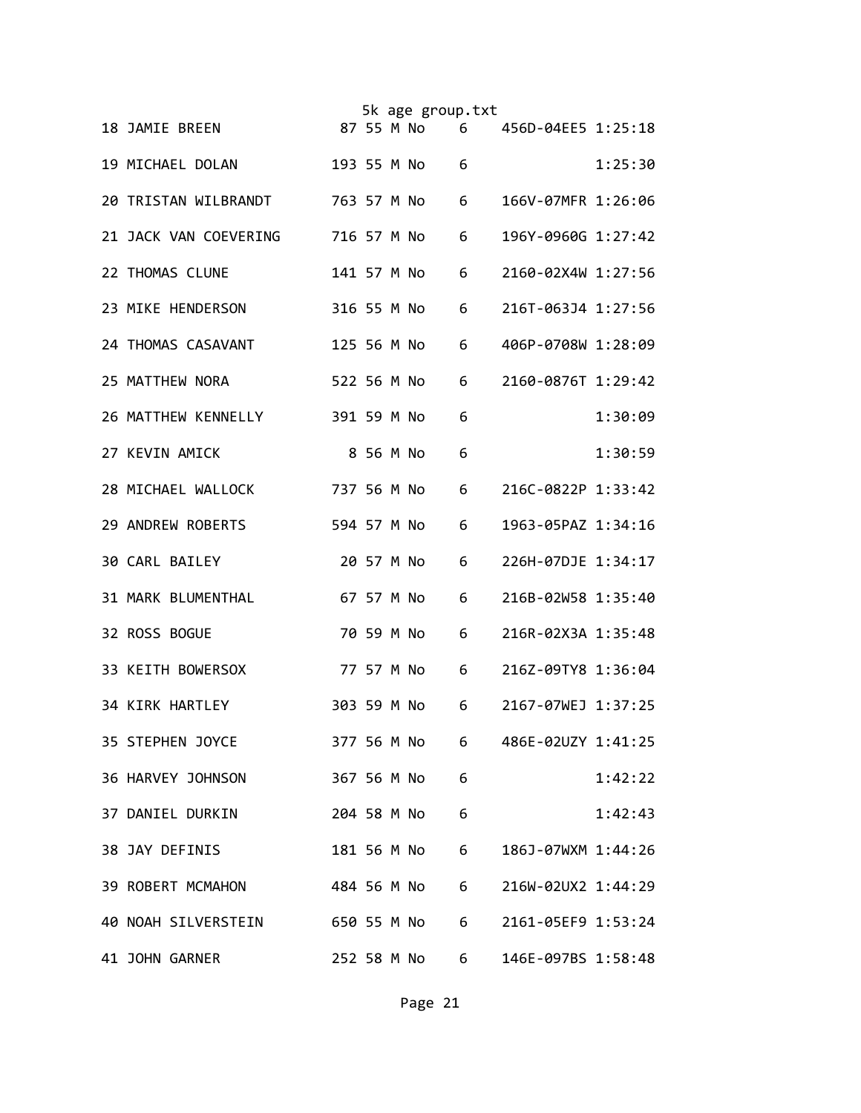|  |                                    |             |            | 5k age group.txt |   |                    |         |
|--|------------------------------------|-------------|------------|------------------|---|--------------------|---------|
|  | 18 JAMIE BREEN                     |             |            | 87 55 M No       | 6 | 456D-04EE5 1:25:18 |         |
|  | 19 MICHAEL DOLAN                   | 193 55 M No |            |                  | 6 |                    | 1:25:30 |
|  | 20 TRISTAN WILBRANDT               | 763 57 M No |            |                  | 6 | 166V-07MFR 1:26:06 |         |
|  | 21 JACK VAN COEVERING              | 716 57 M No |            |                  | 6 | 196Y-0960G 1:27:42 |         |
|  | 22 THOMAS CLUNE                    | 141 57 M No |            |                  | 6 | 2160-02X4W 1:27:56 |         |
|  | 23 MIKE HENDERSON                  | 316 55 M No |            |                  | 6 | 216T-063J4 1:27:56 |         |
|  | 24 THOMAS CASAVANT                 | 125 56 M No |            |                  | 6 | 406P-0708W 1:28:09 |         |
|  | 25 MATTHEW NORA                    | 522 56 M No |            |                  | 6 | 2160-0876T 1:29:42 |         |
|  | 26 MATTHEW KENNELLY                | 391 59 M No |            |                  | 6 |                    | 1:30:09 |
|  | 27 KEVIN AMICK                     |             | 8 56 M No  |                  | 6 |                    | 1:30:59 |
|  | 28 MICHAEL WALLOCK                 | 737 56 M No |            |                  | 6 | 216C-0822P 1:33:42 |         |
|  | 29 ANDREW ROBERTS                  | 594 57 M No |            |                  | 6 | 1963-05PAZ 1:34:16 |         |
|  | <b>30 CARL BAILEY</b>              |             | 20 57 M No |                  | 6 | 226H-07DJE 1:34:17 |         |
|  | 31 MARK BLUMENTHAL                 |             | 67 57 M No |                  | 6 | 216B-02W58 1:35:40 |         |
|  | 32 ROSS BOGUE                      |             | 70 59 M No |                  | 6 | 216R-02X3A 1:35:48 |         |
|  | 33 KEITH BOWERSOX                  |             | 77 57 M No |                  | 6 | 216Z-09TY8 1:36:04 |         |
|  | 34 KIRK HARTLEY                    | 303 59 M No |            |                  | 6 | 2167-07WEJ 1:37:25 |         |
|  | 35 STEPHEN JOYCE                   | 377 56 M No |            |                  | 6 | 486E-02UZY 1:41:25 |         |
|  | 36 HARVEY JOHNSON                  |             |            | 367 56 M No      | 6 |                    | 1:42:22 |
|  | 37 DANIEL DURKIN                   |             |            | 204 58 M No      | 6 |                    | 1:42:43 |
|  | 38 JAY DEFINIS                     |             |            | 181 56 M No      | 6 | 186J-07WXM 1:44:26 |         |
|  | 39 ROBERT MCMAHON                  |             |            | 484 56 M No      | 6 | 216W-02UX2 1:44:29 |         |
|  | 40 NOAH SILVERSTEIN<br>650 55 M No |             |            |                  | 6 | 2161-05EF9 1:53:24 |         |
|  | 41 JOHN GARNER                     |             |            | 252 58 M No      | 6 | 146E-097BS 1:58:48 |         |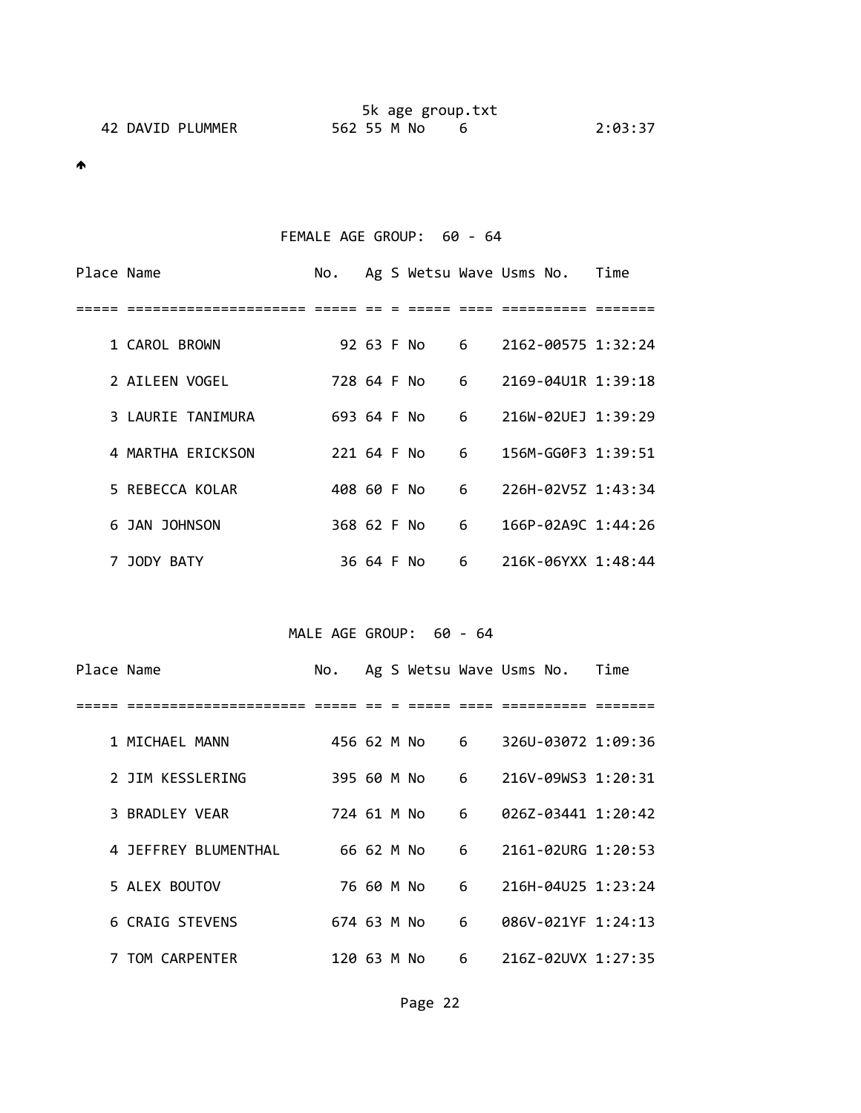|                  | 5k age group.txt |         |
|------------------|------------------|---------|
| 42 DAVID PLUMMER | 562 55 M No      | 2:03:37 |

## FEMALE AGE GROUP: 60 - 64

| Place Name |                   | No.         |            |              |   | Ag S Wetsu Wave Usms No. | Time |
|------------|-------------------|-------------|------------|--------------|---|--------------------------|------|
|            |                   |             |            |              |   |                          |      |
|            | 1 CAROL BROWN     |             |            | 92 63 F No 6 |   | 2162-00575 1:32:24       |      |
|            | 2 AILEEN VOGEL    | 728 64 F No |            | $6^{\circ}$  |   | 2169-04U1R 1:39:18       |      |
|            | 3 LAURIE TANIMURA | 693 64 F No |            |              | 6 | 216W-02UEJ 1:39:29       |      |
|            | 4 MARTHA ERICKSON | 221 64 F No |            |              | 6 | 156M-GG0F3 1:39:51       |      |
|            | 5 REBECCA KOLAR   | 408 60 F No |            | $6^{\circ}$  |   | 226H-02V5Z 1:43:34       |      |
|            | 6 JAN JOHNSON     | 368 62 F No |            |              | 6 | 166P-02A9C 1:44:26       |      |
|            | 7 JODY BATY       |             | 36 64 F No |              | 6 | 216K-06YXX 1:48:44       |      |

#### MALE AGE GROUP: 60 - 64

| Place Name |                      | No.         |            |                           |                 | Ag S Wetsu Wave Usms No. Time |  |
|------------|----------------------|-------------|------------|---------------------------|-----------------|-------------------------------|--|
|            |                      |             |            |                           |                 |                               |  |
|            | 1 MICHAEL MANN       |             |            | 456 62 M No 6             |                 | 326U-03072 1:09:36            |  |
|            | 2 JIM KESSLERING     | 395 60 M No |            |                           | $6\overline{6}$ | 216V-09WS3 1:20:31            |  |
|            | 3 BRADLEY VEAR       | 724 61 M No |            |                           | 6               | 026Z-03441 1:20:42            |  |
|            | 4 JEFFREY BLUMENTHAL |             |            | $6^{\circ}$<br>66 62 M No |                 | 2161-02URG 1:20:53            |  |
|            | 5 ALEX BOUTOV        |             | 76 60 M No |                           | 6               | 216H-04U25 1:23:24            |  |
|            | 6 CRAIG STEVENS      | 674 63 M No |            |                           | 6               | 086V-021YF 1:24:13            |  |
|            | 7 TOM CARPENTER      | 120 63 M No |            | $6\overline{6}$           |                 | 216Z-02UVX 1:27:35            |  |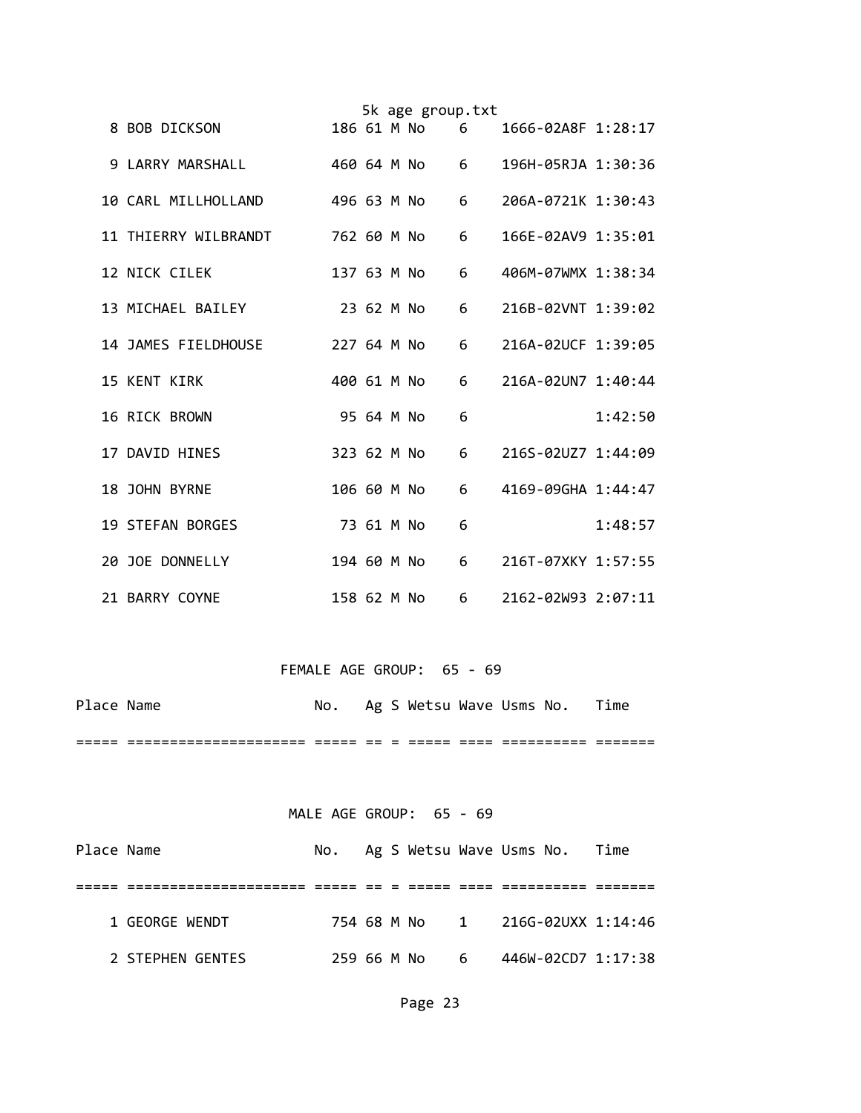|  |                         |             |            | 5k age group.txt |   |                    |         |
|--|-------------------------|-------------|------------|------------------|---|--------------------|---------|
|  | 8 BOB DICKSON           |             |            | 186 61 M No      | 6 | 1666-02A8F 1:28:17 |         |
|  | 9 LARRY MARSHALL        | 460 64 M No |            |                  | 6 | 196H-05RJA 1:30:36 |         |
|  | 10 CARL MILLHOLLAND     | 496 63 M No |            |                  | 6 | 206A-0721K 1:30:43 |         |
|  | 11 THIERRY WILBRANDT    | 762 60 M No |            |                  | 6 | 166E-02AV9 1:35:01 |         |
|  | 12 NICK CILEK           | 137 63 M No |            |                  | 6 | 406M-07WMX 1:38:34 |         |
|  | 13 MICHAEL BAILEY       | 23 62 M No  |            |                  | 6 | 216B-02VNT 1:39:02 |         |
|  | 14 JAMES FIELDHOUSE     | 227 64 M No |            |                  | 6 | 216A-02UCF 1:39:05 |         |
|  | <b>15 KENT KIRK</b>     | 400 61 M No |            |                  | 6 | 216A-02UN7 1:40:44 |         |
|  | 16 RICK BROWN           |             | 95 64 M No |                  | 6 |                    | 1:42:50 |
|  | 17 DAVID HINES          | 323 62 M No |            |                  | 6 | 216S-02UZ7 1:44:09 |         |
|  | 18 JOHN BYRNE           | 106 60 M No |            |                  | 6 | 4169-09GHA 1:44:47 |         |
|  | <b>19 STEFAN BORGES</b> |             | 73 61 M No |                  | 6 |                    | 1:48:57 |
|  | 20 JOE DONNELLY         | 194 60 M No |            |                  | 6 | 216T-07XKY 1:57:55 |         |
|  | 21 BARRY COYNE          | 158 62 M No |            |                  | 6 | 2162-02W93 2:07:11 |         |

## FEMALE AGE GROUP: 65 - 69

| Place Name |                                           | No. |  |  | Ag S Wetsu Wave Usms No. Time |  |
|------------|-------------------------------------------|-----|--|--|-------------------------------|--|
|            | ________________<br>_____________________ |     |  |  | __________                    |  |

#### MALE AGE GROUP: 65 - 69

| Place Name |                  |  |               | No. Ag S Wetsu Wave Usms No. Time |  |
|------------|------------------|--|---------------|-----------------------------------|--|
|            |                  |  |               |                                   |  |
|            | 1 GEORGE WENDT   |  |               | 754 68 M No 1 216G-02UXX 1:14:46  |  |
|            | 2 STEPHEN GENTES |  | 259 66 M No 6 | 446W-02CD7 1:17:38                |  |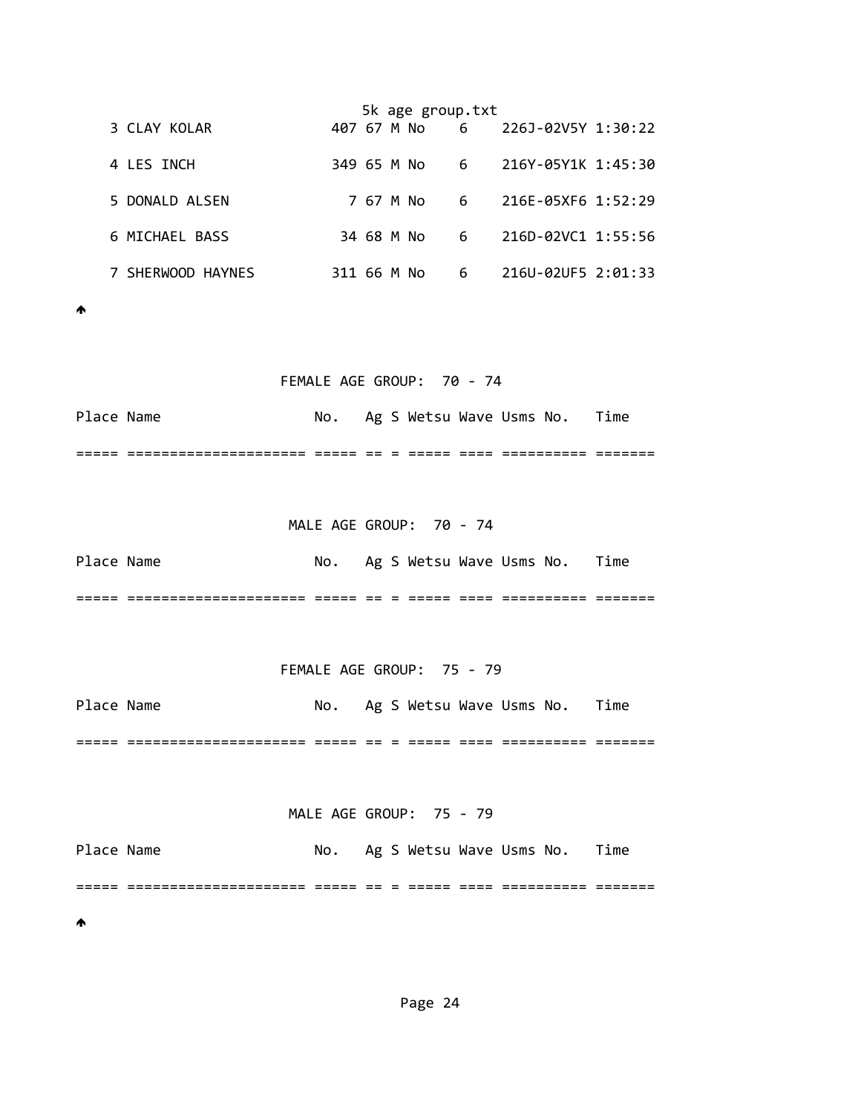|                   |             |  | 5k age group.txt |                 |                                  |  |
|-------------------|-------------|--|------------------|-----------------|----------------------------------|--|
| 3 CLAY KOLAR      |             |  |                  |                 | 407 67 M No 6 226J-02V5Y 1:30:22 |  |
| 4 LES INCH        | 349 65 M No |  |                  | $6\overline{6}$ | 216Y-05Y1K 1:45:30               |  |
| 5 DONALD ALSEN    |             |  | 7 67 M No        | 6               | 216E-05XF6 1:52:29               |  |
| 6 MICHAEL BASS    |             |  | 34 68 M No       | $6\overline{6}$ | 216D-02VC1 1:55:56               |  |
| 7 SHERWOOD HAYNES | 311 66 M No |  |                  | 6               | 216U-02UF5 2:01:33               |  |

 $\blacklozenge$ 

#### FEMALE AGE GROUP: 70 ‐ 74

Place Name  $\blacksquare$  No. Ag S Wetsu Wave Usms No. Time ===== ===================== ===== == = ===== ==== ========== =======

 MALE AGE GROUP: 70 ‐ 74 Place Name **No.** Ag S Wetsu Wave Usms No. Time ===== ===================== ===== == = ===== ==== ========== =======

FEMALE AGE GROUP: 75 ‐ 79

Place Name  $\blacksquare$  No. Ag S Wetsu Wave Usms No. Time ===== ===================== ===== == = ===== ==== ========== =======

MALE AGE GROUP: 75 ‐ 79

Place Name  $\blacksquare$  No. Ag S Wetsu Wave Usms No. Time ===== ===================== ===== == = ===== ==== ========== ======= ₳